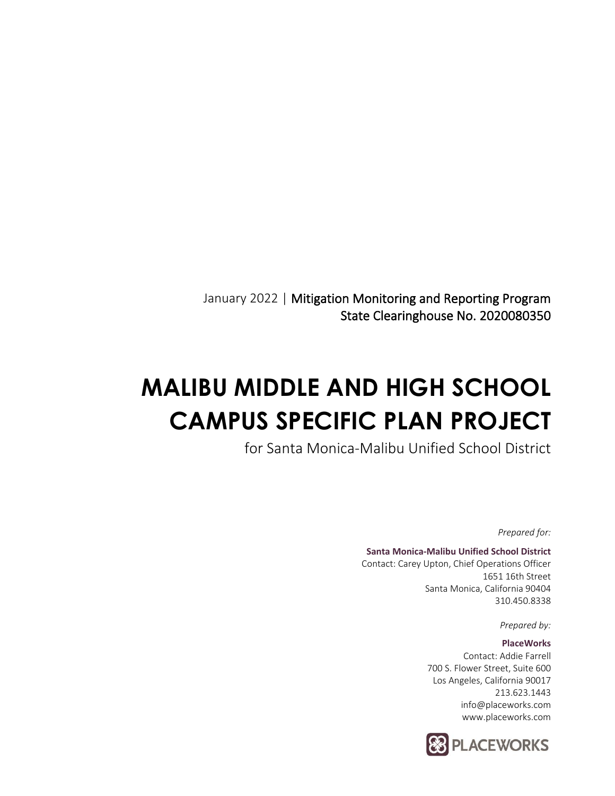January 2022 | Mitigation Monitoring and Reporting Program State Clearinghouse No. 2020080350

# **MALIBU MIDDLE AND HIGH SCHOOL CAMPUS SPECIFIC PLAN PROJECT**

for Santa Monica-Malibu Unified School District

*Prepared for:*

#### **Santa Monica-Malibu Unified School District** Contact: Carey Upton, Chief Operations Officer 1651 16th Street

Santa Monica, California 90404 310.450.8338

*Prepared by:*

#### **PlaceWorks**

Contact: Addie Farrell 700 S. Flower Street, Suite 600 Los Angeles, California 90017 213.623.1443 info@placeworks.com www.placeworks.com

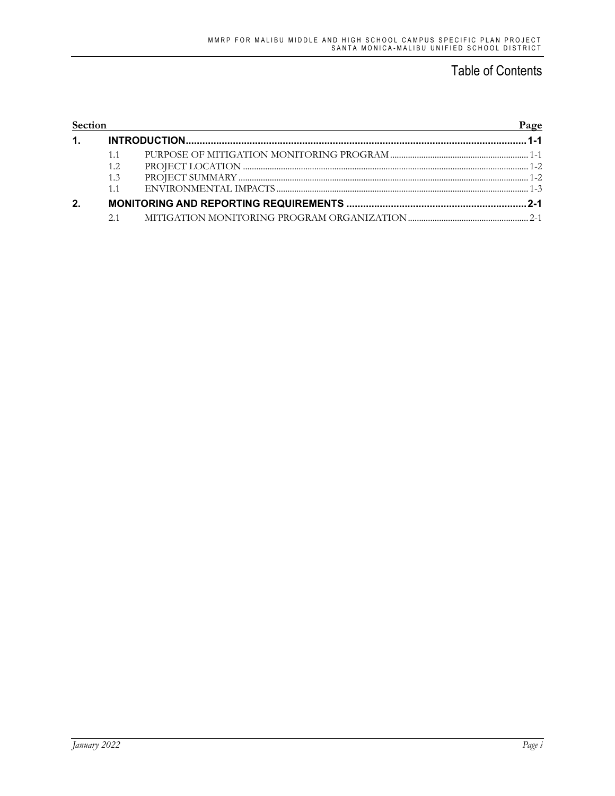### Table of Contents

| Section |     | Page |
|---------|-----|------|
| 1.      |     |      |
|         |     |      |
|         | 1.2 |      |
|         | 1.3 |      |
|         | 1.1 |      |
| 2.      |     |      |
|         |     |      |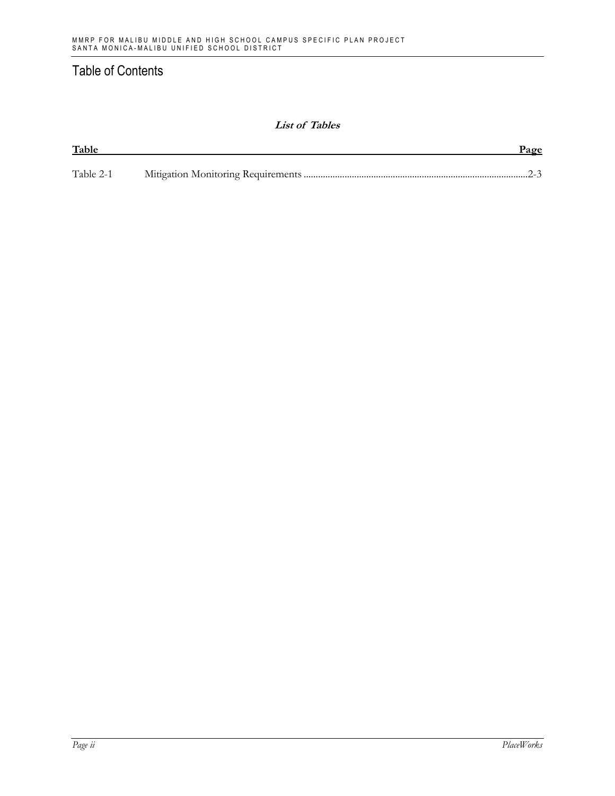### Table of Contents

#### **List of Tables**

| Table     | Page |
|-----------|------|
|           |      |
| Table 2-1 |      |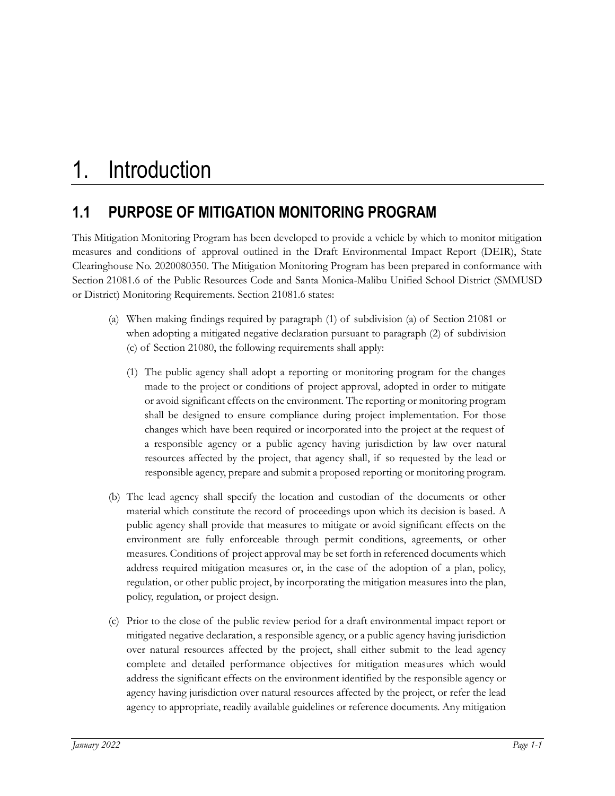# **1.1 PURPOSE OF MITIGATION MONITORING PROGRAM**

This Mitigation Monitoring Program has been developed to provide a vehicle by which to monitor mitigation measures and conditions of approval outlined in the Draft Environmental Impact Report (DEIR), State Clearinghouse No. 2020080350. The Mitigation Monitoring Program has been prepared in conformance with Section 21081.6 of the Public Resources Code and Santa Monica-Malibu Unified School District (SMMUSD or District) Monitoring Requirements. Section 21081.6 states:

- (a) When making findings required by paragraph (1) of subdivision (a) of Section 21081 or when adopting a mitigated negative declaration pursuant to paragraph (2) of subdivision (c) of Section 21080, the following requirements shall apply:
	- (1) The public agency shall adopt a reporting or monitoring program for the changes made to the project or conditions of project approval, adopted in order to mitigate or avoid significant effects on the environment. The reporting or monitoring program shall be designed to ensure compliance during project implementation. For those changes which have been required or incorporated into the project at the request of a responsible agency or a public agency having jurisdiction by law over natural resources affected by the project, that agency shall, if so requested by the lead or responsible agency, prepare and submit a proposed reporting or monitoring program.
- (b) The lead agency shall specify the location and custodian of the documents or other material which constitute the record of proceedings upon which its decision is based. A public agency shall provide that measures to mitigate or avoid significant effects on the environment are fully enforceable through permit conditions, agreements, or other measures. Conditions of project approval may be set forth in referenced documents which address required mitigation measures or, in the case of the adoption of a plan, policy, regulation, or other public project, by incorporating the mitigation measures into the plan, policy, regulation, or project design.
- (c) Prior to the close of the public review period for a draft environmental impact report or mitigated negative declaration, a responsible agency, or a public agency having jurisdiction over natural resources affected by the project, shall either submit to the lead agency complete and detailed performance objectives for mitigation measures which would address the significant effects on the environment identified by the responsible agency or agency having jurisdiction over natural resources affected by the project, or refer the lead agency to appropriate, readily available guidelines or reference documents. Any mitigation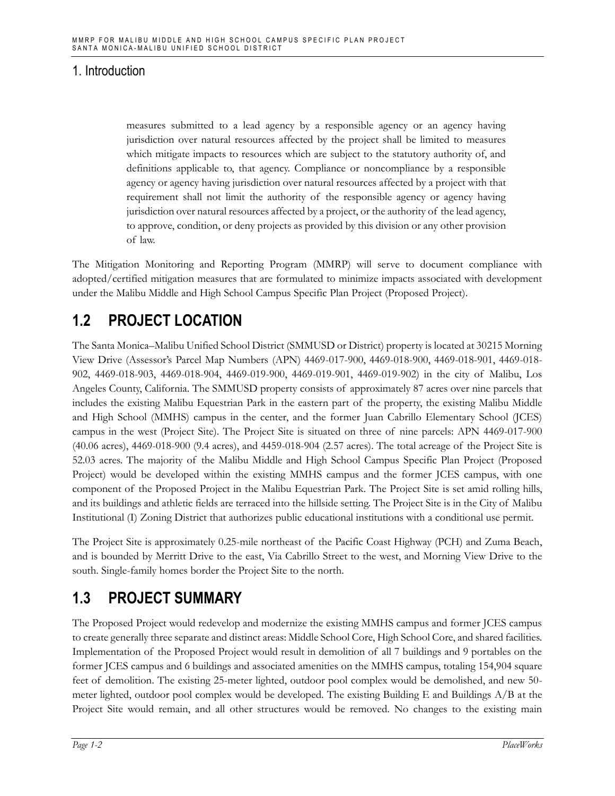measures submitted to a lead agency by a responsible agency or an agency having jurisdiction over natural resources affected by the project shall be limited to measures which mitigate impacts to resources which are subject to the statutory authority of, and definitions applicable to, that agency. Compliance or noncompliance by a responsible agency or agency having jurisdiction over natural resources affected by a project with that requirement shall not limit the authority of the responsible agency or agency having jurisdiction over natural resources affected by a project, or the authority of the lead agency, to approve, condition, or deny projects as provided by this division or any other provision of law.

The Mitigation Monitoring and Reporting Program (MMRP) will serve to document compliance with adopted/certified mitigation measures that are formulated to minimize impacts associated with development under the Malibu Middle and High School Campus Specific Plan Project (Proposed Project).

# **1.2 PROJECT LOCATION**

The Santa Monica–Malibu Unified School District (SMMUSD or District) property is located at 30215 Morning View Drive (Assessor's Parcel Map Numbers (APN) 4469-017-900, 4469-018-900, 4469-018-901, 4469-018- 902, 4469-018-903, 4469-018-904, 4469-019-900, 4469-019-901, 4469-019-902) in the city of Malibu, Los Angeles County, California. The SMMUSD property consists of approximately 87 acres over nine parcels that includes the existing Malibu Equestrian Park in the eastern part of the property, the existing Malibu Middle and High School (MMHS) campus in the center, and the former Juan Cabrillo Elementary School (JCES) campus in the west (Project Site). The Project Site is situated on three of nine parcels: APN 4469-017-900 (40.06 acres), 4469-018-900 (9.4 acres), and 4459-018-904 (2.57 acres). The total acreage of the Project Site is 52.03 acres. The majority of the Malibu Middle and High School Campus Specific Plan Project (Proposed Project) would be developed within the existing MMHS campus and the former JCES campus, with one component of the Proposed Project in the Malibu Equestrian Park. The Project Site is set amid rolling hills, and its buildings and athletic fields are terraced into the hillside setting. The Project Site is in the City of Malibu Institutional (I) Zoning District that authorizes public educational institutions with a conditional use permit.

The Project Site is approximately 0.25-mile northeast of the Pacific Coast Highway (PCH) and Zuma Beach, and is bounded by Merritt Drive to the east, Via Cabrillo Street to the west, and Morning View Drive to the south. Single-family homes border the Project Site to the north.

# **1.3 PROJECT SUMMARY**

The Proposed Project would redevelop and modernize the existing MMHS campus and former JCES campus to create generally three separate and distinct areas: Middle School Core, High School Core, and shared facilities. Implementation of the Proposed Project would result in demolition of all 7 buildings and 9 portables on the former JCES campus and 6 buildings and associated amenities on the MMHS campus, totaling 154,904 square feet of demolition. The existing 25-meter lighted, outdoor pool complex would be demolished, and new 50 meter lighted, outdoor pool complex would be developed. The existing Building E and Buildings A/B at the Project Site would remain, and all other structures would be removed. No changes to the existing main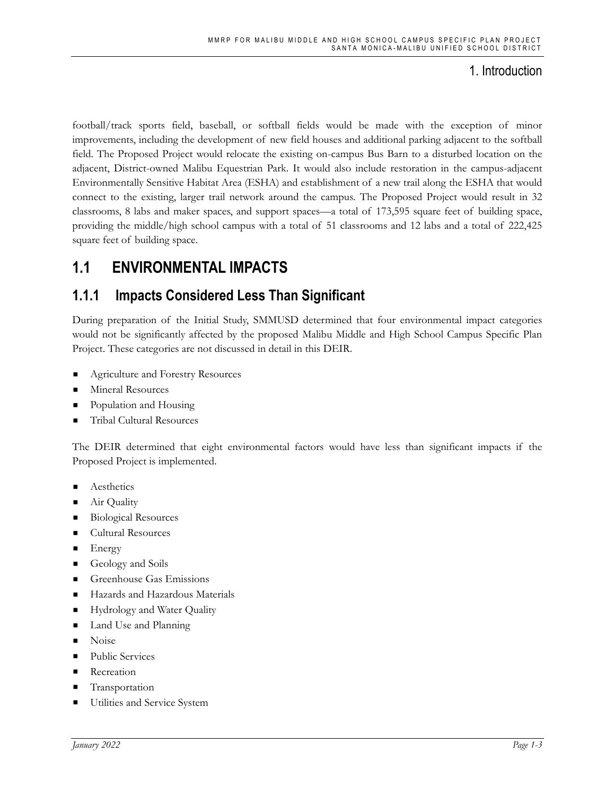football/track sports field, baseball, or softball fields would be made with the exception of minor improvements, including the development of new field houses and additional parking adjacent to the softball field. The Proposed Project would relocate the existing on-campus Bus Barn to a disturbed location on the adjacent, District-owned Malibu Equestrian Park. It would also include restoration in the campus-adjacent Environmentally Sensitive Habitat Area (ESHA) and establishment of a new trail along the ESHA that would connect to the existing, larger trail network around the campus. The Proposed Project would result in 32 classrooms, 8 labs and maker spaces, and support spaces—a total of 173,595 square feet of building space, providing the middle/high school campus with a total of 51 classrooms and 12 labs and a total of 222,425 square feet of building space.

## **1.1 ENVIRONMENTAL IMPACTS**

### **1.1.1 Impacts Considered Less Than Significant**

During preparation of the Initial Study, SMMUSD determined that four environmental impact categories would not be significantly affected by the proposed Malibu Middle and High School Campus Specific Plan Project. These categories are not discussed in detail in this DEIR.

- Agriculture and Forestry Resources
- Mineral Resources
- Population and Housing
- Tribal Cultural Resources

The DEIR determined that eight environmental factors would have less than significant impacts if the Proposed Project is implemented.

- Aesthetics
- Air Quality
- **Biological Resources**
- Cultural Resources
- $\blacksquare$  Energy
- Geology and Soils
- **Exerche Gas Emissions**
- Hazards and Hazardous Materials
- **EXECUTE:** Hydrology and Water Quality
- Land Use and Planning
- Noise
- Public Services
- **Recreation**
- **Transportation**
- Utilities and Service System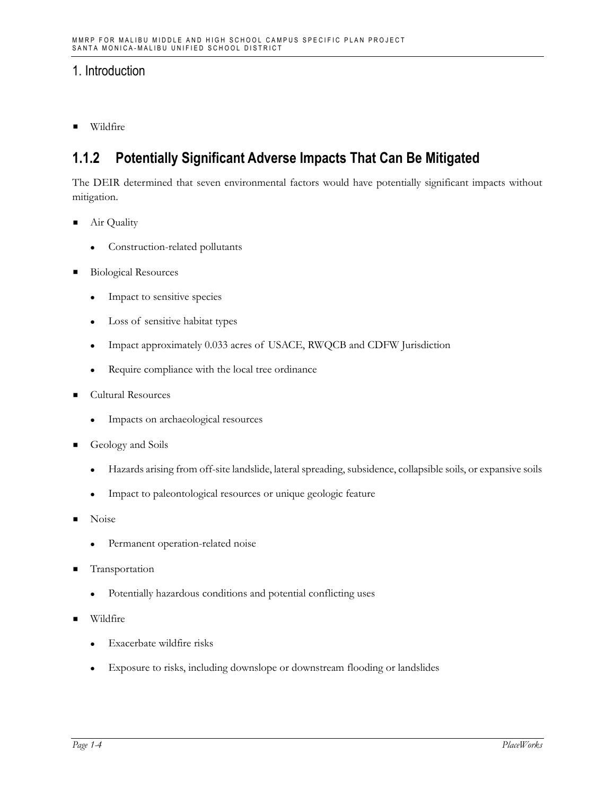■ Wildfire

### **1.1.2 Potentially Significant Adverse Impacts That Can Be Mitigated**

The DEIR determined that seven environmental factors would have potentially significant impacts without mitigation.

- Air Quality
	- ⚫ Construction-related pollutants
- Biological Resources
	- ⚫ Impact to sensitive species
	- ⚫ Loss of sensitive habitat types
	- ⚫ Impact approximately 0.033 acres of USACE, RWQCB and CDFW Jurisdiction
	- ⚫ Require compliance with the local tree ordinance
- Cultural Resources
	- ⚫ Impacts on archaeological resources
- Geology and Soils
	- ⚫ Hazards arising from off-site landslide, lateral spreading, subsidence, collapsible soils, or expansive soils
	- ⚫ Impact to paleontological resources or unique geologic feature
- Noise
	- Permanent operation-related noise
- **Transportation** 
	- ⚫ Potentially hazardous conditions and potential conflicting uses
- **Wildfire** 
	- ⚫ Exacerbate wildfire risks
	- ⚫ Exposure to risks, including downslope or downstream flooding or landslides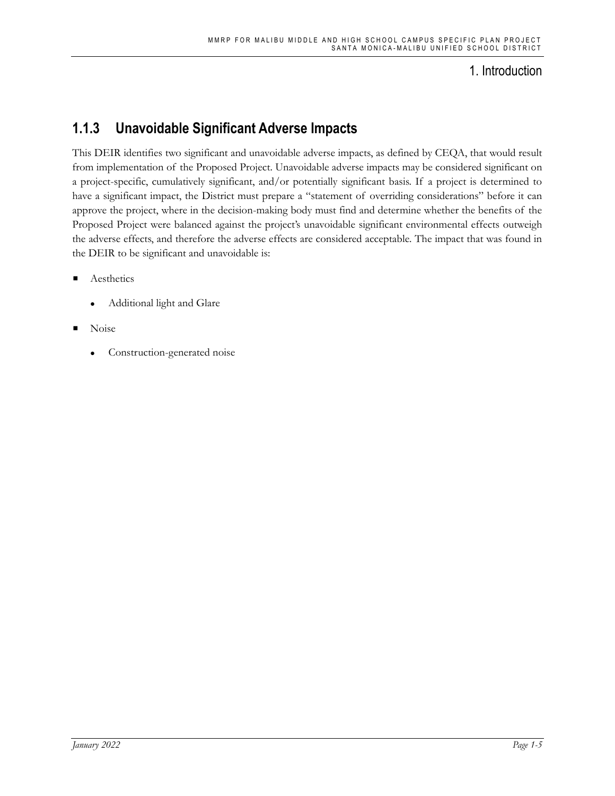## **1.1.3 Unavoidable Significant Adverse Impacts**

This DEIR identifies two significant and unavoidable adverse impacts, as defined by CEQA, that would result from implementation of the Proposed Project. Unavoidable adverse impacts may be considered significant on a project-specific, cumulatively significant, and/or potentially significant basis. If a project is determined to have a significant impact, the District must prepare a "statement of overriding considerations" before it can approve the project, where in the decision-making body must find and determine whether the benefits of the Proposed Project were balanced against the project's unavoidable significant environmental effects outweigh the adverse effects, and therefore the adverse effects are considered acceptable. The impact that was found in the DEIR to be significant and unavoidable is:

- **Aesthetics** 
	- ⚫ Additional light and Glare
- Noise
	- ⚫ Construction-generated noise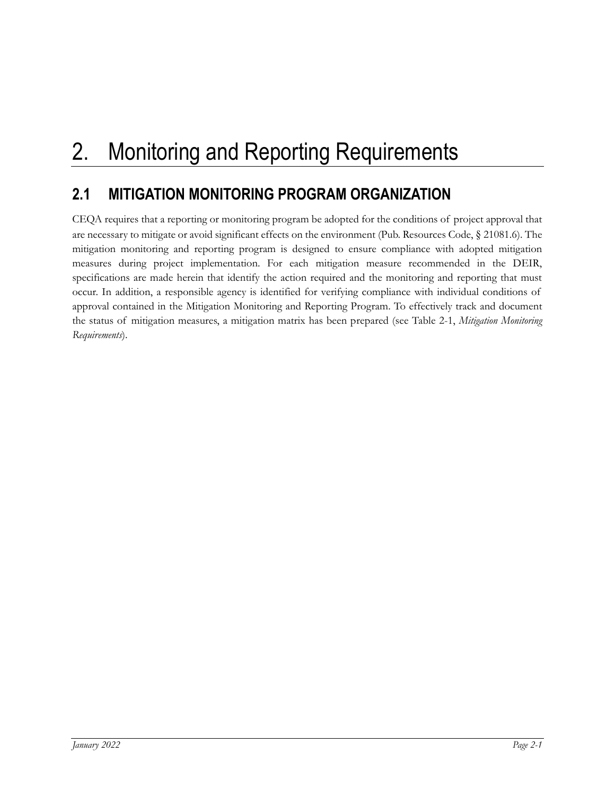# 2. Monitoring and Reporting Requirements

# **2.1 MITIGATION MONITORING PROGRAM ORGANIZATION**

CEQA requires that a reporting or monitoring program be adopted for the conditions of project approval that are necessary to mitigate or avoid significant effects on the environment (Pub. Resources Code, § 21081.6). The mitigation monitoring and reporting program is designed to ensure compliance with adopted mitigation measures during project implementation. For each mitigation measure recommended in the DEIR, specifications are made herein that identify the action required and the monitoring and reporting that must occur. In addition, a responsible agency is identified for verifying compliance with individual conditions of approval contained in the Mitigation Monitoring and Reporting Program. To effectively track and document the status of mitigation measures, a mitigation matrix has been prepared (see Table 2-1, *Mitigation Monitoring Requirements*).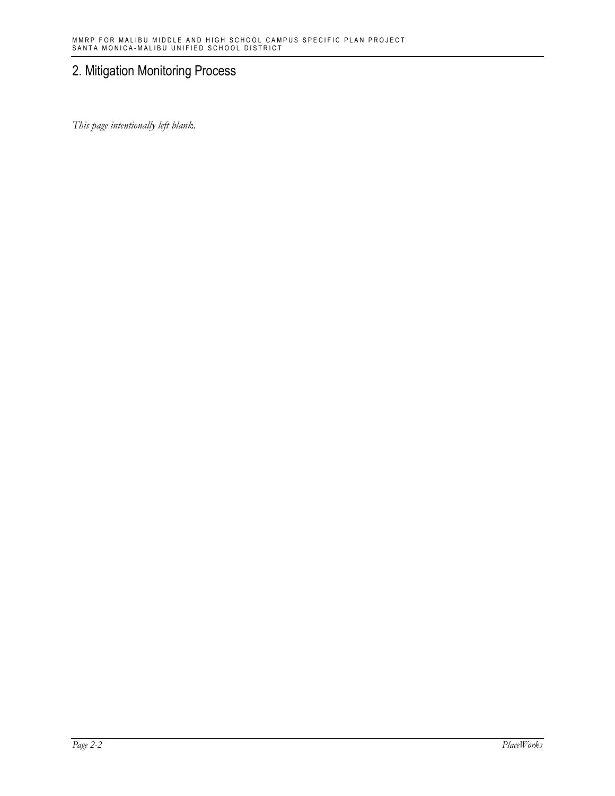*This page intentionally left blank.*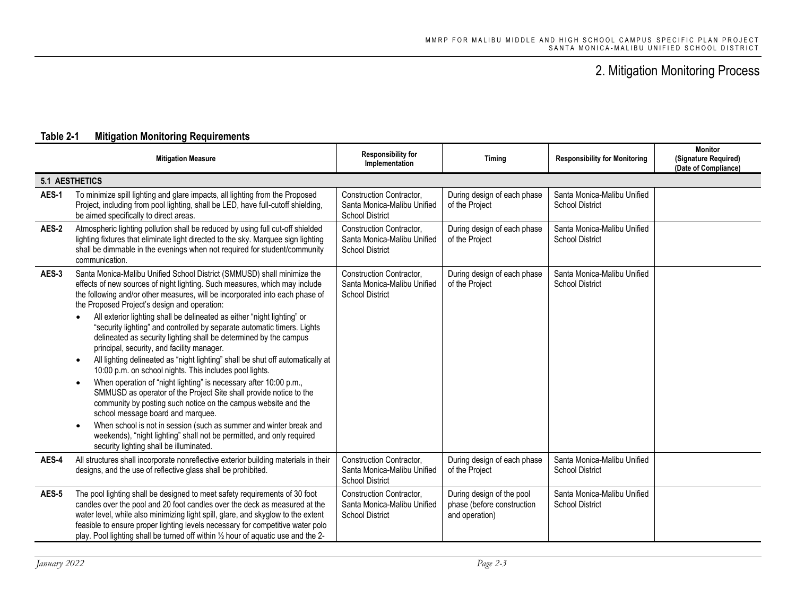<span id="page-12-0"></span>

|       | <b>Mitigation Measure</b>                                                                                                                                                                                                                                                                                                                                                                                                                                                                                                                                                                                                                                                                                                                                                                                                                                                                                                                                                                                                                                                                                                                                                                      | <b>Responsibility for</b><br>Implementation                                              | <b>Timing</b>                                                             | <b>Responsibility for Monitoring</b>                  | <b>Monitor</b><br>(Signature Required)<br>(Date of Compliance) |
|-------|------------------------------------------------------------------------------------------------------------------------------------------------------------------------------------------------------------------------------------------------------------------------------------------------------------------------------------------------------------------------------------------------------------------------------------------------------------------------------------------------------------------------------------------------------------------------------------------------------------------------------------------------------------------------------------------------------------------------------------------------------------------------------------------------------------------------------------------------------------------------------------------------------------------------------------------------------------------------------------------------------------------------------------------------------------------------------------------------------------------------------------------------------------------------------------------------|------------------------------------------------------------------------------------------|---------------------------------------------------------------------------|-------------------------------------------------------|----------------------------------------------------------------|
|       | <b>5.1 AESTHETICS</b>                                                                                                                                                                                                                                                                                                                                                                                                                                                                                                                                                                                                                                                                                                                                                                                                                                                                                                                                                                                                                                                                                                                                                                          |                                                                                          |                                                                           |                                                       |                                                                |
| AES-1 | To minimize spill lighting and glare impacts, all lighting from the Proposed<br>Project, including from pool lighting, shall be LED, have full-cutoff shielding,<br>be aimed specifically to direct areas.                                                                                                                                                                                                                                                                                                                                                                                                                                                                                                                                                                                                                                                                                                                                                                                                                                                                                                                                                                                     | Construction Contractor,<br>Santa Monica-Malibu Unified<br><b>School District</b>        | During design of each phase<br>of the Project                             | Santa Monica-Malibu Unified<br><b>School District</b> |                                                                |
| AES-2 | Atmospheric lighting pollution shall be reduced by using full cut-off shielded<br>lighting fixtures that eliminate light directed to the sky. Marquee sign lighting<br>shall be dimmable in the evenings when not required for student/community<br>communication.                                                                                                                                                                                                                                                                                                                                                                                                                                                                                                                                                                                                                                                                                                                                                                                                                                                                                                                             | <b>Construction Contractor.</b><br>Santa Monica-Malibu Unified<br><b>School District</b> | During design of each phase<br>of the Project                             | Santa Monica-Malibu Unified<br><b>School District</b> |                                                                |
| AES-3 | Santa Monica-Malibu Unified School District (SMMUSD) shall minimize the<br>effects of new sources of night lighting. Such measures, which may include<br>the following and/or other measures, will be incorporated into each phase of<br>the Proposed Project's design and operation:<br>All exterior lighting shall be delineated as either "night lighting" or<br>"security lighting" and controlled by separate automatic timers. Lights<br>delineated as security lighting shall be determined by the campus<br>principal, security, and facility manager.<br>All lighting delineated as "night lighting" shall be shut off automatically at<br>$\bullet$<br>10:00 p.m. on school nights. This includes pool lights.<br>When operation of "night lighting" is necessary after 10:00 p.m.,<br>$\bullet$<br>SMMUSD as operator of the Project Site shall provide notice to the<br>community by posting such notice on the campus website and the<br>school message board and marquee.<br>When school is not in session (such as summer and winter break and<br>$\bullet$<br>weekends), "night lighting" shall not be permitted, and only required<br>security lighting shall be illuminated. | Construction Contractor,<br>Santa Monica-Malibu Unified<br><b>School District</b>        | During design of each phase<br>of the Project                             | Santa Monica-Malibu Unified<br><b>School District</b> |                                                                |
| AES-4 | All structures shall incorporate nonreflective exterior building materials in their<br>designs, and the use of reflective glass shall be prohibited.                                                                                                                                                                                                                                                                                                                                                                                                                                                                                                                                                                                                                                                                                                                                                                                                                                                                                                                                                                                                                                           | Construction Contractor,<br>Santa Monica-Malibu Unified<br><b>School District</b>        | During design of each phase<br>of the Project                             | Santa Monica-Malibu Unified<br><b>School District</b> |                                                                |
| AES-5 | The pool lighting shall be designed to meet safety requirements of 30 foot<br>candles over the pool and 20 foot candles over the deck as measured at the<br>water level, while also minimizing light spill, glare, and skyglow to the extent<br>feasible to ensure proper lighting levels necessary for competitive water polo<br>play. Pool lighting shall be turned off within 1/2 hour of aquatic use and the 2-                                                                                                                                                                                                                                                                                                                                                                                                                                                                                                                                                                                                                                                                                                                                                                            | <b>Construction Contractor.</b><br>Santa Monica-Malibu Unified<br><b>School District</b> | During design of the pool<br>phase (before construction<br>and operation) | Santa Monica-Malibu Unified<br><b>School District</b> |                                                                |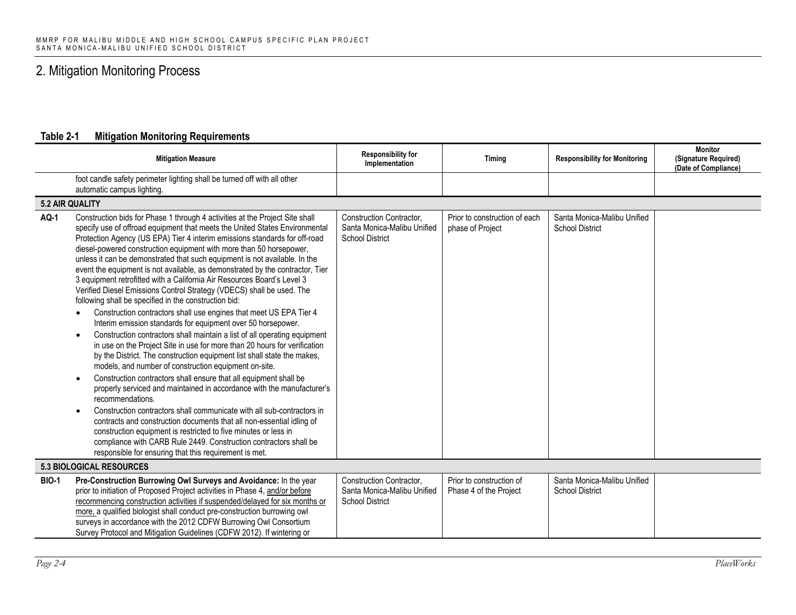|              | <b>Mitigation Measure</b>                                                                                                                                                                                                                                                                                                                                                                                                                                                                                                                                                                                                                                                                                                                                                                                                                                                                                                                                                                                                                                                                                                                                                                                                                                                                                                                                                                                                                                                                                                                                                                                                                                                          | <b>Responsibility for</b><br>Implementation                                              | Timing                                             | <b>Responsibility for Monitoring</b>                  | <b>Monitor</b><br>(Signature Required)<br>(Date of Compliance) |  |
|--------------|------------------------------------------------------------------------------------------------------------------------------------------------------------------------------------------------------------------------------------------------------------------------------------------------------------------------------------------------------------------------------------------------------------------------------------------------------------------------------------------------------------------------------------------------------------------------------------------------------------------------------------------------------------------------------------------------------------------------------------------------------------------------------------------------------------------------------------------------------------------------------------------------------------------------------------------------------------------------------------------------------------------------------------------------------------------------------------------------------------------------------------------------------------------------------------------------------------------------------------------------------------------------------------------------------------------------------------------------------------------------------------------------------------------------------------------------------------------------------------------------------------------------------------------------------------------------------------------------------------------------------------------------------------------------------------|------------------------------------------------------------------------------------------|----------------------------------------------------|-------------------------------------------------------|----------------------------------------------------------------|--|
|              | foot candle safety perimeter lighting shall be turned off with all other<br>automatic campus lighting.                                                                                                                                                                                                                                                                                                                                                                                                                                                                                                                                                                                                                                                                                                                                                                                                                                                                                                                                                                                                                                                                                                                                                                                                                                                                                                                                                                                                                                                                                                                                                                             |                                                                                          |                                                    |                                                       |                                                                |  |
|              | <b>5.2 AIR QUALITY</b>                                                                                                                                                                                                                                                                                                                                                                                                                                                                                                                                                                                                                                                                                                                                                                                                                                                                                                                                                                                                                                                                                                                                                                                                                                                                                                                                                                                                                                                                                                                                                                                                                                                             |                                                                                          |                                                    |                                                       |                                                                |  |
| <b>AQ-1</b>  | Construction bids for Phase 1 through 4 activities at the Project Site shall<br>specify use of offroad equipment that meets the United States Environmental<br>Protection Agency (US EPA) Tier 4 interim emissions standards for off-road<br>diesel-powered construction equipment with more than 50 horsepower,<br>unless it can be demonstrated that such equipment is not available. In the<br>event the equipment is not available, as demonstrated by the contractor, Tier<br>3 equipment retrofitted with a California Air Resources Board's Level 3<br>Verified Diesel Emissions Control Strategy (VDECS) shall be used. The<br>following shall be specified in the construction bid:<br>Construction contractors shall use engines that meet US EPA Tier 4<br>Interim emission standards for equipment over 50 horsepower.<br>Construction contractors shall maintain a list of all operating equipment<br>$\bullet$<br>in use on the Project Site in use for more than 20 hours for verification<br>by the District. The construction equipment list shall state the makes,<br>models, and number of construction equipment on-site.<br>Construction contractors shall ensure that all equipment shall be<br>properly serviced and maintained in accordance with the manufacturer's<br>recommendations.<br>Construction contractors shall communicate with all sub-contractors in<br>$\bullet$<br>contracts and construction documents that all non-essential idling of<br>construction equipment is restricted to five minutes or less in<br>compliance with CARB Rule 2449. Construction contractors shall be<br>responsible for ensuring that this requirement is met. | Construction Contractor,<br>Santa Monica-Malibu Unified<br><b>School District</b>        | Prior to construction of each<br>phase of Project  | Santa Monica-Malibu Unified<br><b>School District</b> |                                                                |  |
|              | <b>5.3 BIOLOGICAL RESOURCES</b>                                                                                                                                                                                                                                                                                                                                                                                                                                                                                                                                                                                                                                                                                                                                                                                                                                                                                                                                                                                                                                                                                                                                                                                                                                                                                                                                                                                                                                                                                                                                                                                                                                                    |                                                                                          |                                                    |                                                       |                                                                |  |
| <b>BIO-1</b> | Pre-Construction Burrowing Owl Surveys and Avoidance: In the year<br>prior to initiation of Proposed Project activities in Phase 4, and/or before<br>recommencing construction activities if suspended/delayed for six months or<br>more, a qualified biologist shall conduct pre-construction burrowing owl<br>surveys in accordance with the 2012 CDFW Burrowing Owl Consortium<br>Survey Protocol and Mitigation Guidelines (CDFW 2012). If wintering or                                                                                                                                                                                                                                                                                                                                                                                                                                                                                                                                                                                                                                                                                                                                                                                                                                                                                                                                                                                                                                                                                                                                                                                                                        | <b>Construction Contractor,</b><br>Santa Monica-Malibu Unified<br><b>School District</b> | Prior to construction of<br>Phase 4 of the Project | Santa Monica-Malibu Unified<br><b>School District</b> |                                                                |  |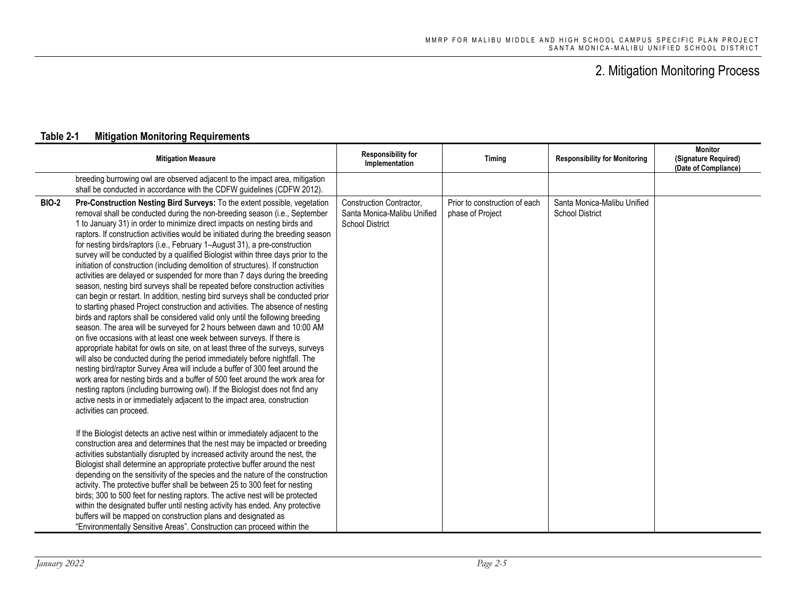|              | <b>Mitigation Measure</b>                                                                                                                                                                                                                                                                                                                                                                                                                                                                                                                                                                                                                                                                                                                                                                                                                                                                                                                                                                                                                                                                                                                                                                                                                                                                                                                                                                                                                                                                                                                                                                                                                                                                                                                                                                                                                                                                                                                                                                                                                                                                                                                                                                                                                                                                                                                                                                                                | Responsibility for<br>Implementation                                              | Timing                                            | <b>Responsibility for Monitoring</b>                  | <b>Monitor</b><br>(Signature Required)<br>(Date of Compliance) |
|--------------|--------------------------------------------------------------------------------------------------------------------------------------------------------------------------------------------------------------------------------------------------------------------------------------------------------------------------------------------------------------------------------------------------------------------------------------------------------------------------------------------------------------------------------------------------------------------------------------------------------------------------------------------------------------------------------------------------------------------------------------------------------------------------------------------------------------------------------------------------------------------------------------------------------------------------------------------------------------------------------------------------------------------------------------------------------------------------------------------------------------------------------------------------------------------------------------------------------------------------------------------------------------------------------------------------------------------------------------------------------------------------------------------------------------------------------------------------------------------------------------------------------------------------------------------------------------------------------------------------------------------------------------------------------------------------------------------------------------------------------------------------------------------------------------------------------------------------------------------------------------------------------------------------------------------------------------------------------------------------------------------------------------------------------------------------------------------------------------------------------------------------------------------------------------------------------------------------------------------------------------------------------------------------------------------------------------------------------------------------------------------------------------------------------------------------|-----------------------------------------------------------------------------------|---------------------------------------------------|-------------------------------------------------------|----------------------------------------------------------------|
|              | breeding burrowing owl are observed adjacent to the impact area, mitigation<br>shall be conducted in accordance with the CDFW guidelines (CDFW 2012).                                                                                                                                                                                                                                                                                                                                                                                                                                                                                                                                                                                                                                                                                                                                                                                                                                                                                                                                                                                                                                                                                                                                                                                                                                                                                                                                                                                                                                                                                                                                                                                                                                                                                                                                                                                                                                                                                                                                                                                                                                                                                                                                                                                                                                                                    |                                                                                   |                                                   |                                                       |                                                                |
| <b>BIO-2</b> | Pre-Construction Nesting Bird Surveys: To the extent possible, vegetation<br>removal shall be conducted during the non-breeding season (i.e., September<br>1 to January 31) in order to minimize direct impacts on nesting birds and<br>raptors. If construction activities would be initiated during the breeding season<br>for nesting birds/raptors (i.e., February 1-August 31), a pre-construction<br>survey will be conducted by a qualified Biologist within three days prior to the<br>initiation of construction (including demolition of structures). If construction<br>activities are delayed or suspended for more than 7 days during the breeding<br>season, nesting bird surveys shall be repeated before construction activities<br>can begin or restart. In addition, nesting bird surveys shall be conducted prior<br>to starting phased Project construction and activities. The absence of nesting<br>birds and raptors shall be considered valid only until the following breeding<br>season. The area will be surveyed for 2 hours between dawn and 10:00 AM<br>on five occasions with at least one week between surveys. If there is<br>appropriate habitat for owls on site, on at least three of the surveys, surveys<br>will also be conducted during the period immediately before nightfall. The<br>nesting bird/raptor Survey Area will include a buffer of 300 feet around the<br>work area for nesting birds and a buffer of 500 feet around the work area for<br>nesting raptors (including burrowing owl). If the Biologist does not find any<br>active nests in or immediately adjacent to the impact area, construction<br>activities can proceed.<br>If the Biologist detects an active nest within or immediately adjacent to the<br>construction area and determines that the nest may be impacted or breeding<br>activities substantially disrupted by increased activity around the nest, the<br>Biologist shall determine an appropriate protective buffer around the nest<br>depending on the sensitivity of the species and the nature of the construction<br>activity. The protective buffer shall be between 25 to 300 feet for nesting<br>birds; 300 to 500 feet for nesting raptors. The active nest will be protected<br>within the designated buffer until nesting activity has ended. Any protective<br>buffers will be mapped on construction plans and designated as | Construction Contractor,<br>Santa Monica-Malibu Unified<br><b>School District</b> | Prior to construction of each<br>phase of Project | Santa Monica-Malibu Unified<br><b>School District</b> |                                                                |
|              | "Environmentally Sensitive Areas". Construction can proceed within the                                                                                                                                                                                                                                                                                                                                                                                                                                                                                                                                                                                                                                                                                                                                                                                                                                                                                                                                                                                                                                                                                                                                                                                                                                                                                                                                                                                                                                                                                                                                                                                                                                                                                                                                                                                                                                                                                                                                                                                                                                                                                                                                                                                                                                                                                                                                                   |                                                                                   |                                                   |                                                       |                                                                |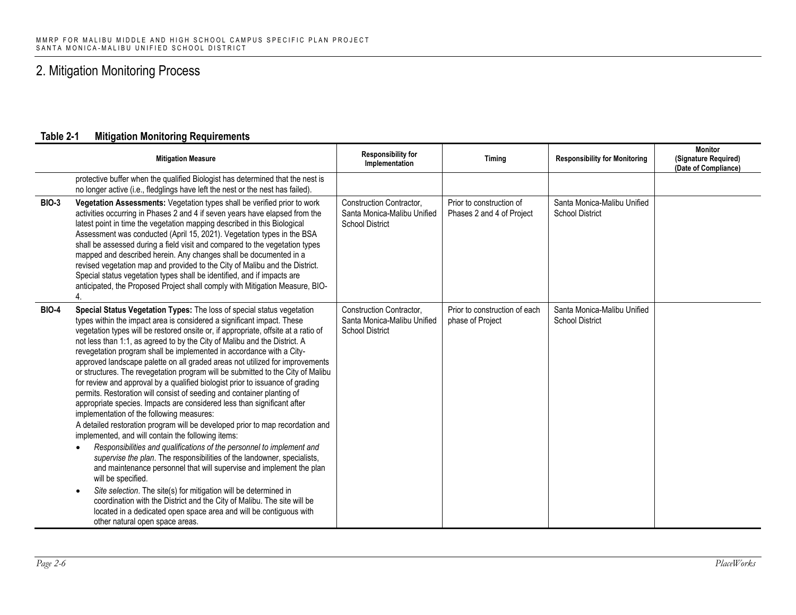|              | <b>Mitigation Measure</b>                                                                                                                                                                                                                                                                                                                                                                                                                                                                                                                                                                                                                                                                                                                                                                                                                                                                                                                                                                                                                                                                                                                                                                                                                                                                                                                                                                                                                                                                                       | <b>Responsibility for</b><br>Implementation                                       | Timing                                                | <b>Responsibility for Monitoring</b>                  | <b>Monitor</b><br>(Signature Required)<br>(Date of Compliance) |
|--------------|-----------------------------------------------------------------------------------------------------------------------------------------------------------------------------------------------------------------------------------------------------------------------------------------------------------------------------------------------------------------------------------------------------------------------------------------------------------------------------------------------------------------------------------------------------------------------------------------------------------------------------------------------------------------------------------------------------------------------------------------------------------------------------------------------------------------------------------------------------------------------------------------------------------------------------------------------------------------------------------------------------------------------------------------------------------------------------------------------------------------------------------------------------------------------------------------------------------------------------------------------------------------------------------------------------------------------------------------------------------------------------------------------------------------------------------------------------------------------------------------------------------------|-----------------------------------------------------------------------------------|-------------------------------------------------------|-------------------------------------------------------|----------------------------------------------------------------|
|              | protective buffer when the qualified Biologist has determined that the nest is<br>no longer active (i.e., fledglings have left the nest or the nest has failed).                                                                                                                                                                                                                                                                                                                                                                                                                                                                                                                                                                                                                                                                                                                                                                                                                                                                                                                                                                                                                                                                                                                                                                                                                                                                                                                                                |                                                                                   |                                                       |                                                       |                                                                |
| <b>BIO-3</b> | Vegetation Assessments: Vegetation types shall be verified prior to work<br>activities occurring in Phases 2 and 4 if seven years have elapsed from the<br>latest point in time the vegetation mapping described in this Biological<br>Assessment was conducted (April 15, 2021). Vegetation types in the BSA<br>shall be assessed during a field visit and compared to the vegetation types<br>mapped and described herein. Any changes shall be documented in a<br>revised vegetation map and provided to the City of Malibu and the District.<br>Special status vegetation types shall be identified, and if impacts are<br>anticipated, the Proposed Project shall comply with Mitigation Measure, BIO-                                                                                                                                                                                                                                                                                                                                                                                                                                                                                                                                                                                                                                                                                                                                                                                                     | Construction Contractor,<br>Santa Monica-Malibu Unified<br><b>School District</b> | Prior to construction of<br>Phases 2 and 4 of Project | Santa Monica-Malibu Unified<br><b>School District</b> |                                                                |
| <b>BIO-4</b> | Special Status Vegetation Types: The loss of special status vegetation<br>types within the impact area is considered a significant impact. These<br>vegetation types will be restored onsite or, if appropriate, offsite at a ratio of<br>not less than 1:1, as agreed to by the City of Malibu and the District. A<br>revegetation program shall be implemented in accordance with a City-<br>approved landscape palette on all graded areas not utilized for improvements<br>or structures. The revegetation program will be submitted to the City of Malibu<br>for review and approval by a qualified biologist prior to issuance of grading<br>permits. Restoration will consist of seeding and container planting of<br>appropriate species. Impacts are considered less than significant after<br>implementation of the following measures:<br>A detailed restoration program will be developed prior to map recordation and<br>implemented, and will contain the following items:<br>Responsibilities and qualifications of the personnel to implement and<br>supervise the plan. The responsibilities of the landowner, specialists,<br>and maintenance personnel that will supervise and implement the plan<br>will be specified.<br>Site selection. The site(s) for mitigation will be determined in<br>$\bullet$<br>coordination with the District and the City of Malibu. The site will be<br>located in a dedicated open space area and will be contiguous with<br>other natural open space areas. | Construction Contractor,<br>Santa Monica-Malibu Unified<br><b>School District</b> | Prior to construction of each<br>phase of Project     | Santa Monica-Malibu Unified<br><b>School District</b> |                                                                |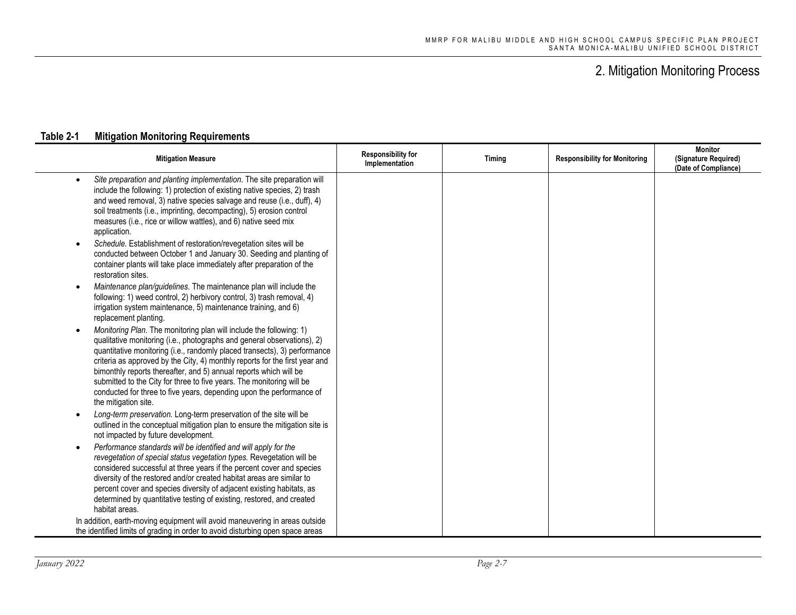| <b>Mitigation Measure</b>                                                                                                                                                                                                                                                                                                                                                                                                                                                                                                                                | <b>Responsibility for</b><br>Implementation | Timing | <b>Responsibility for Monitoring</b> | <b>Monitor</b><br>(Signature Required)<br>(Date of Compliance) |
|----------------------------------------------------------------------------------------------------------------------------------------------------------------------------------------------------------------------------------------------------------------------------------------------------------------------------------------------------------------------------------------------------------------------------------------------------------------------------------------------------------------------------------------------------------|---------------------------------------------|--------|--------------------------------------|----------------------------------------------------------------|
| Site preparation and planting implementation. The site preparation will<br>$\bullet$<br>include the following: 1) protection of existing native species, 2) trash<br>and weed removal, 3) native species salvage and reuse (i.e., duff), 4)<br>soil treatments (i.e., imprinting, decompacting), 5) erosion control<br>measures (i.e., rice or willow wattles), and 6) native seed mix<br>application.                                                                                                                                                   |                                             |        |                                      |                                                                |
| Schedule. Establishment of restoration/revegetation sites will be<br>$\bullet$<br>conducted between October 1 and January 30. Seeding and planting of<br>container plants will take place immediately after preparation of the<br>restoration sites.                                                                                                                                                                                                                                                                                                     |                                             |        |                                      |                                                                |
| Maintenance plan/guidelines. The maintenance plan will include the<br>following: 1) weed control, 2) herbivory control, 3) trash removal, 4)<br>irrigation system maintenance, 5) maintenance training, and 6)<br>replacement planting.                                                                                                                                                                                                                                                                                                                  |                                             |        |                                      |                                                                |
| Monitoring Plan. The monitoring plan will include the following: 1)<br>qualitative monitoring (i.e., photographs and general observations), 2)<br>quantitative monitoring (i.e., randomly placed transects), 3) performance<br>criteria as approved by the City, 4) monthly reports for the first year and<br>bimonthly reports thereafter, and 5) annual reports which will be<br>submitted to the City for three to five years. The monitoring will be<br>conducted for three to five years, depending upon the performance of<br>the mitigation site. |                                             |        |                                      |                                                                |
| Long-term preservation. Long-term preservation of the site will be<br>$\bullet$<br>outlined in the conceptual mitigation plan to ensure the mitigation site is<br>not impacted by future development.                                                                                                                                                                                                                                                                                                                                                    |                                             |        |                                      |                                                                |
| Performance standards will be identified and will apply for the<br>$\bullet$<br>revegetation of special status vegetation types. Revegetation will be<br>considered successful at three years if the percent cover and species<br>diversity of the restored and/or created habitat areas are similar to<br>percent cover and species diversity of adjacent existing habitats, as<br>determined by quantitative testing of existing, restored, and created<br>habitat areas.                                                                              |                                             |        |                                      |                                                                |
| In addition, earth-moving equipment will avoid maneuvering in areas outside<br>the identified limits of grading in order to avoid disturbing open space areas                                                                                                                                                                                                                                                                                                                                                                                            |                                             |        |                                      |                                                                |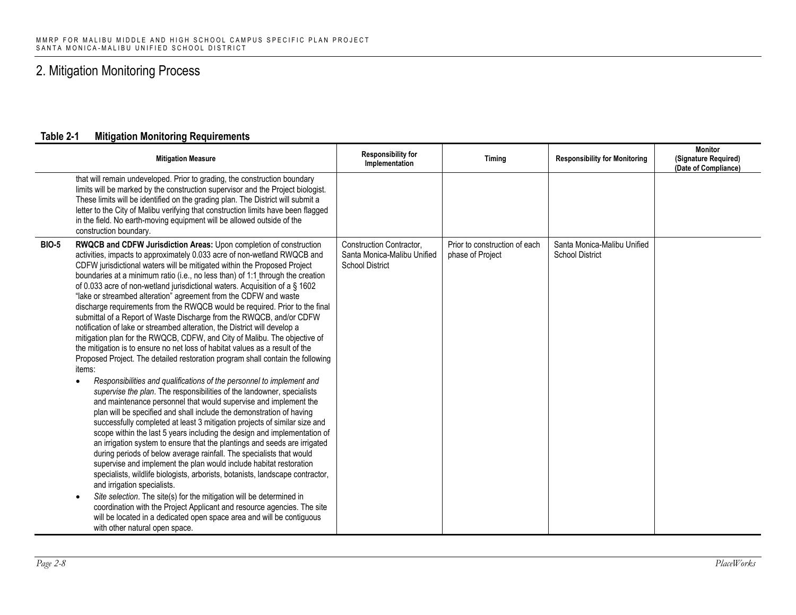|              | <b>Mitigation Measure</b>                                                                                                                                                                                                                                                                                                                                                                                                                                                                                                                                                                                                                                                                                                                                                                                                                                                                                                                                                                                                                                                                                                                                                                                                                                                                                                                                                                                                                                                                                                                                                                                                                                                                                                                                                                                                                                                                                                                                                                                                                               | <b>Responsibility for</b><br>Implementation                                       | Timing                                            | <b>Responsibility for Monitoring</b>                  | <b>Monitor</b><br>(Signature Required)<br>(Date of Compliance) |
|--------------|---------------------------------------------------------------------------------------------------------------------------------------------------------------------------------------------------------------------------------------------------------------------------------------------------------------------------------------------------------------------------------------------------------------------------------------------------------------------------------------------------------------------------------------------------------------------------------------------------------------------------------------------------------------------------------------------------------------------------------------------------------------------------------------------------------------------------------------------------------------------------------------------------------------------------------------------------------------------------------------------------------------------------------------------------------------------------------------------------------------------------------------------------------------------------------------------------------------------------------------------------------------------------------------------------------------------------------------------------------------------------------------------------------------------------------------------------------------------------------------------------------------------------------------------------------------------------------------------------------------------------------------------------------------------------------------------------------------------------------------------------------------------------------------------------------------------------------------------------------------------------------------------------------------------------------------------------------------------------------------------------------------------------------------------------------|-----------------------------------------------------------------------------------|---------------------------------------------------|-------------------------------------------------------|----------------------------------------------------------------|
|              | that will remain undeveloped. Prior to grading, the construction boundary<br>limits will be marked by the construction supervisor and the Project biologist.<br>These limits will be identified on the grading plan. The District will submit a<br>letter to the City of Malibu verifying that construction limits have been flagged<br>in the field. No earth-moving equipment will be allowed outside of the<br>construction boundary.                                                                                                                                                                                                                                                                                                                                                                                                                                                                                                                                                                                                                                                                                                                                                                                                                                                                                                                                                                                                                                                                                                                                                                                                                                                                                                                                                                                                                                                                                                                                                                                                                |                                                                                   |                                                   |                                                       |                                                                |
| <b>BIO-5</b> | RWQCB and CDFW Jurisdiction Areas: Upon completion of construction<br>activities, impacts to approximately 0.033 acre of non-wetland RWQCB and<br>CDFW jurisdictional waters will be mitigated within the Proposed Project<br>boundaries at a minimum ratio (i.e., no less than) of 1:1 through the creation<br>of 0.033 acre of non-wetland jurisdictional waters. Acquisition of a § 1602<br>"lake or streambed alteration" agreement from the CDFW and waste<br>discharge requirements from the RWQCB would be required. Prior to the final<br>submittal of a Report of Waste Discharge from the RWQCB, and/or CDFW<br>notification of lake or streambed alteration, the District will develop a<br>mitigation plan for the RWQCB, CDFW, and City of Malibu. The objective of<br>the mitigation is to ensure no net loss of habitat values as a result of the<br>Proposed Project. The detailed restoration program shall contain the following<br>items:<br>Responsibilities and qualifications of the personnel to implement and<br>$\bullet$<br>supervise the plan. The responsibilities of the landowner, specialists<br>and maintenance personnel that would supervise and implement the<br>plan will be specified and shall include the demonstration of having<br>successfully completed at least 3 mitigation projects of similar size and<br>scope within the last 5 years including the design and implementation of<br>an irrigation system to ensure that the plantings and seeds are irrigated<br>during periods of below average rainfall. The specialists that would<br>supervise and implement the plan would include habitat restoration<br>specialists, wildlife biologists, arborists, botanists, landscape contractor,<br>and irrigation specialists.<br>Site selection. The site(s) for the mitigation will be determined in<br>$\bullet$<br>coordination with the Project Applicant and resource agencies. The site<br>will be located in a dedicated open space area and will be contiguous<br>with other natural open space. | Construction Contractor,<br>Santa Monica-Malibu Unified<br><b>School District</b> | Prior to construction of each<br>phase of Project | Santa Monica-Malibu Unified<br><b>School District</b> |                                                                |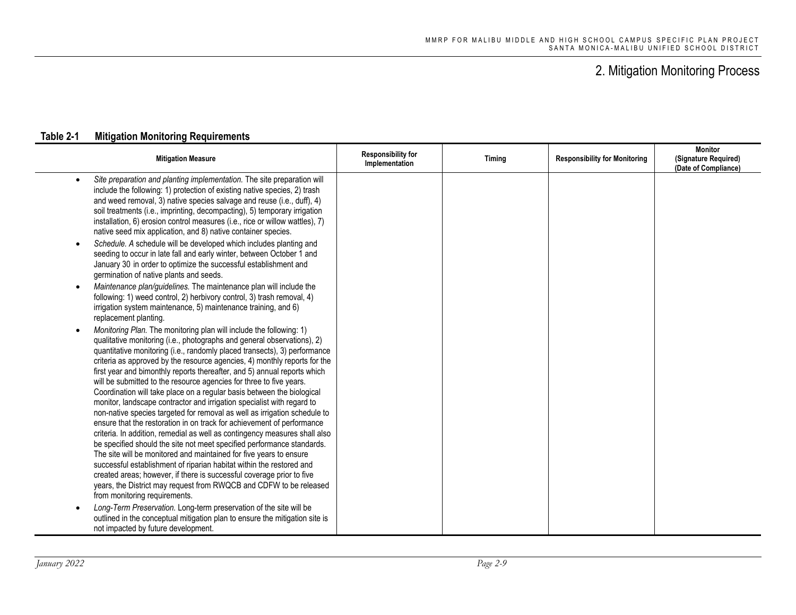| <b>Mitigation Measure</b>                                                                                                                                                                                                                                                                                                                                                                                                                                                                                                                                                                                                                                                                                                                                                                                                                                                                                                                                                                                                                                                                                                                                                                                                                                                                                                                                                                                                                                                                                   | <b>Responsibility for</b><br>Implementation | Timing | <b>Responsibility for Monitoring</b> | <b>Monitor</b><br>(Signature Required)<br>(Date of Compliance) |
|-------------------------------------------------------------------------------------------------------------------------------------------------------------------------------------------------------------------------------------------------------------------------------------------------------------------------------------------------------------------------------------------------------------------------------------------------------------------------------------------------------------------------------------------------------------------------------------------------------------------------------------------------------------------------------------------------------------------------------------------------------------------------------------------------------------------------------------------------------------------------------------------------------------------------------------------------------------------------------------------------------------------------------------------------------------------------------------------------------------------------------------------------------------------------------------------------------------------------------------------------------------------------------------------------------------------------------------------------------------------------------------------------------------------------------------------------------------------------------------------------------------|---------------------------------------------|--------|--------------------------------------|----------------------------------------------------------------|
| Site preparation and planting implementation. The site preparation will<br>$\bullet$<br>include the following: 1) protection of existing native species, 2) trash<br>and weed removal, 3) native species salvage and reuse (i.e., duff), 4)<br>soil treatments (i.e., imprinting, decompacting), 5) temporary irrigation<br>installation, 6) erosion control measures (i.e., rice or willow wattles), 7)<br>native seed mix application, and 8) native container species.<br>Schedule. A schedule will be developed which includes planting and<br>seeding to occur in late fall and early winter, between October 1 and<br>January 30 in order to optimize the successful establishment and<br>germination of native plants and seeds.<br>Maintenance plan/guidelines. The maintenance plan will include the<br>$\bullet$<br>following: 1) weed control, 2) herbivory control, 3) trash removal, 4)<br>irrigation system maintenance, 5) maintenance training, and 6)                                                                                                                                                                                                                                                                                                                                                                                                                                                                                                                                      |                                             |        |                                      |                                                                |
| replacement planting.<br>Monitoring Plan. The monitoring plan will include the following: 1)<br>$\bullet$<br>qualitative monitoring (i.e., photographs and general observations), 2)<br>quantitative monitoring (i.e., randomly placed transects), 3) performance<br>criteria as approved by the resource agencies, 4) monthly reports for the<br>first year and bimonthly reports thereafter, and 5) annual reports which<br>will be submitted to the resource agencies for three to five years.<br>Coordination will take place on a regular basis between the biological<br>monitor, landscape contractor and irrigation specialist with regard to<br>non-native species targeted for removal as well as irrigation schedule to<br>ensure that the restoration in on track for achievement of performance<br>criteria. In addition, remedial as well as contingency measures shall also<br>be specified should the site not meet specified performance standards.<br>The site will be monitored and maintained for five years to ensure<br>successful establishment of riparian habitat within the restored and<br>created areas; however, if there is successful coverage prior to five<br>years, the District may request from RWQCB and CDFW to be released<br>from monitoring requirements.<br>Long-Term Preservation. Long-term preservation of the site will be<br>$\bullet$<br>outlined in the conceptual mitigation plan to ensure the mitigation site is<br>not impacted by future development. |                                             |        |                                      |                                                                |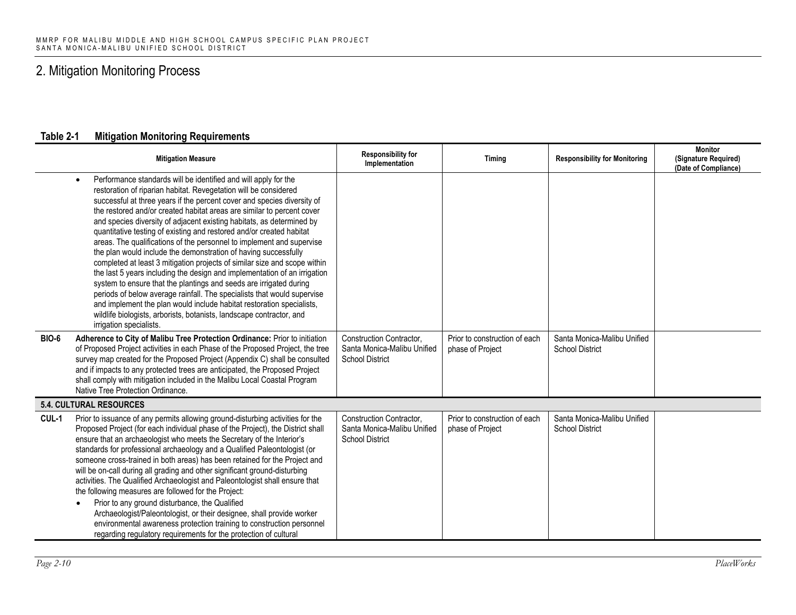|              | <b>Mitigation Measure</b>                                                                                                                                                                                                                                                                                                                                                                                                                                                                                                                                                                                                                                                                                                                                                                                                                                                                                                                                                                                                                                                                 | Responsibility for<br>Implementation                                              | Timing                                            | <b>Responsibility for Monitoring</b>                  | <b>Monitor</b><br>(Signature Required)<br>(Date of Compliance) |
|--------------|-------------------------------------------------------------------------------------------------------------------------------------------------------------------------------------------------------------------------------------------------------------------------------------------------------------------------------------------------------------------------------------------------------------------------------------------------------------------------------------------------------------------------------------------------------------------------------------------------------------------------------------------------------------------------------------------------------------------------------------------------------------------------------------------------------------------------------------------------------------------------------------------------------------------------------------------------------------------------------------------------------------------------------------------------------------------------------------------|-----------------------------------------------------------------------------------|---------------------------------------------------|-------------------------------------------------------|----------------------------------------------------------------|
|              | Performance standards will be identified and will apply for the<br>$\bullet$<br>restoration of riparian habitat. Revegetation will be considered<br>successful at three years if the percent cover and species diversity of<br>the restored and/or created habitat areas are similar to percent cover<br>and species diversity of adjacent existing habitats, as determined by<br>quantitative testing of existing and restored and/or created habitat<br>areas. The qualifications of the personnel to implement and supervise<br>the plan would include the demonstration of having successfully<br>completed at least 3 mitigation projects of similar size and scope within<br>the last 5 years including the design and implementation of an irrigation<br>system to ensure that the plantings and seeds are irrigated during<br>periods of below average rainfall. The specialists that would supervise<br>and implement the plan would include habitat restoration specialists,<br>wildlife biologists, arborists, botanists, landscape contractor, and<br>irrigation specialists. |                                                                                   |                                                   |                                                       |                                                                |
| <b>BIO-6</b> | Adherence to City of Malibu Tree Protection Ordinance: Prior to initiation<br>of Proposed Project activities in each Phase of the Proposed Project, the tree<br>survey map created for the Proposed Project (Appendix C) shall be consulted<br>and if impacts to any protected trees are anticipated, the Proposed Project<br>shall comply with mitigation included in the Malibu Local Coastal Program<br>Native Tree Protection Ordinance.                                                                                                                                                                                                                                                                                                                                                                                                                                                                                                                                                                                                                                              | Construction Contractor,<br>Santa Monica-Malibu Unified<br><b>School District</b> | Prior to construction of each<br>phase of Project | Santa Monica-Malibu Unified<br><b>School District</b> |                                                                |
|              | <b>5.4. CULTURAL RESOURCES</b>                                                                                                                                                                                                                                                                                                                                                                                                                                                                                                                                                                                                                                                                                                                                                                                                                                                                                                                                                                                                                                                            |                                                                                   |                                                   |                                                       |                                                                |
| CUL-1        | Prior to issuance of any permits allowing ground-disturbing activities for the<br>Proposed Project (for each individual phase of the Project), the District shall<br>ensure that an archaeologist who meets the Secretary of the Interior's<br>standards for professional archaeology and a Qualified Paleontologist (or<br>someone cross-trained in both areas) has been retained for the Project and<br>will be on-call during all grading and other significant ground-disturbing<br>activities. The Qualified Archaeologist and Paleontologist shall ensure that<br>the following measures are followed for the Project:<br>Prior to any ground disturbance, the Qualified<br>$\bullet$<br>Archaeologist/Paleontologist, or their designee, shall provide worker<br>environmental awareness protection training to construction personnel<br>regarding regulatory requirements for the protection of cultural                                                                                                                                                                         | Construction Contractor,<br>Santa Monica-Malibu Unified<br><b>School District</b> | Prior to construction of each<br>phase of Project | Santa Monica-Malibu Unified<br><b>School District</b> |                                                                |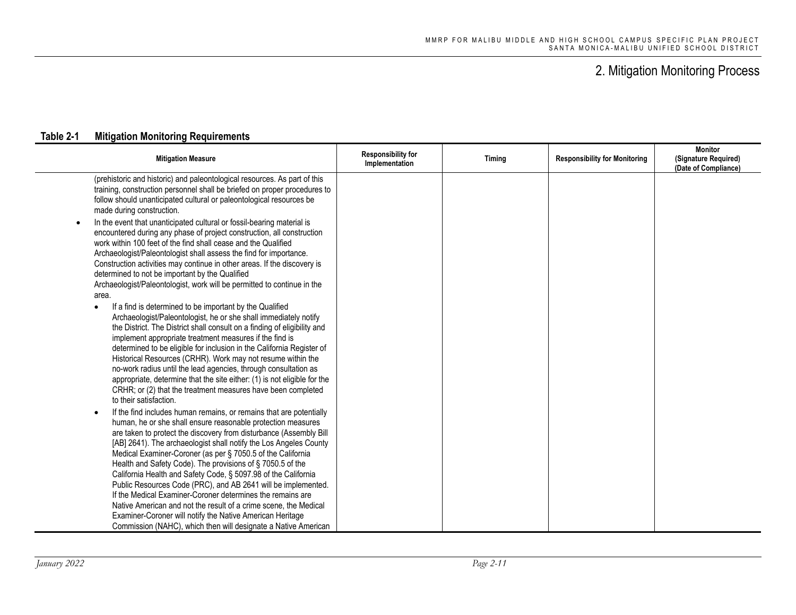| <b>Mitigation Measure</b>                                                                                                                                                                                                                                                                                                                                                                                                                                                                                                                                                                                                                                                                                                                                                                                                                                                                                                                                                                                                                                                                                                                                                                                                                                                                                                                                                                                                                                                                                                                                                                                                                                                                                                                                                                                                                                                                                                                                                                                                  | <b>Responsibility for</b><br>Implementation | Timing | <b>Responsibility for Monitoring</b> | <b>Monitor</b><br>(Signature Required)<br>(Date of Compliance) |
|----------------------------------------------------------------------------------------------------------------------------------------------------------------------------------------------------------------------------------------------------------------------------------------------------------------------------------------------------------------------------------------------------------------------------------------------------------------------------------------------------------------------------------------------------------------------------------------------------------------------------------------------------------------------------------------------------------------------------------------------------------------------------------------------------------------------------------------------------------------------------------------------------------------------------------------------------------------------------------------------------------------------------------------------------------------------------------------------------------------------------------------------------------------------------------------------------------------------------------------------------------------------------------------------------------------------------------------------------------------------------------------------------------------------------------------------------------------------------------------------------------------------------------------------------------------------------------------------------------------------------------------------------------------------------------------------------------------------------------------------------------------------------------------------------------------------------------------------------------------------------------------------------------------------------------------------------------------------------------------------------------------------------|---------------------------------------------|--------|--------------------------------------|----------------------------------------------------------------|
| (prehistoric and historic) and paleontological resources. As part of this<br>training, construction personnel shall be briefed on proper procedures to<br>follow should unanticipated cultural or paleontological resources be<br>made during construction.<br>In the event that unanticipated cultural or fossil-bearing material is<br>$\bullet$<br>encountered during any phase of project construction, all construction<br>work within 100 feet of the find shall cease and the Qualified<br>Archaeologist/Paleontologist shall assess the find for importance.<br>Construction activities may continue in other areas. If the discovery is<br>determined to not be important by the Qualified<br>Archaeologist/Paleontologist, work will be permitted to continue in the<br>area.<br>If a find is determined to be important by the Qualified<br>$\bullet$<br>Archaeologist/Paleontologist, he or she shall immediately notify<br>the District. The District shall consult on a finding of eligibility and<br>implement appropriate treatment measures if the find is<br>determined to be eligible for inclusion in the California Register of<br>Historical Resources (CRHR). Work may not resume within the<br>no-work radius until the lead agencies, through consultation as<br>appropriate, determine that the site either: (1) is not eligible for the<br>CRHR; or (2) that the treatment measures have been completed<br>to their satisfaction.<br>If the find includes human remains, or remains that are potentially<br>$\bullet$<br>human, he or she shall ensure reasonable protection measures<br>are taken to protect the discovery from disturbance (Assembly Bill<br>[AB] 2641). The archaeologist shall notify the Los Angeles County<br>Medical Examiner-Coroner (as per § 7050.5 of the California<br>Health and Safety Code). The provisions of §7050.5 of the<br>California Health and Safety Code, § 5097.98 of the California<br>Public Resources Code (PRC), and AB 2641 will be implemented. |                                             |        |                                      |                                                                |
| If the Medical Examiner-Coroner determines the remains are<br>Native American and not the result of a crime scene, the Medical<br>Examiner-Coroner will notify the Native American Heritage                                                                                                                                                                                                                                                                                                                                                                                                                                                                                                                                                                                                                                                                                                                                                                                                                                                                                                                                                                                                                                                                                                                                                                                                                                                                                                                                                                                                                                                                                                                                                                                                                                                                                                                                                                                                                                |                                             |        |                                      |                                                                |
| Commission (NAHC), which then will designate a Native American                                                                                                                                                                                                                                                                                                                                                                                                                                                                                                                                                                                                                                                                                                                                                                                                                                                                                                                                                                                                                                                                                                                                                                                                                                                                                                                                                                                                                                                                                                                                                                                                                                                                                                                                                                                                                                                                                                                                                             |                                             |        |                                      |                                                                |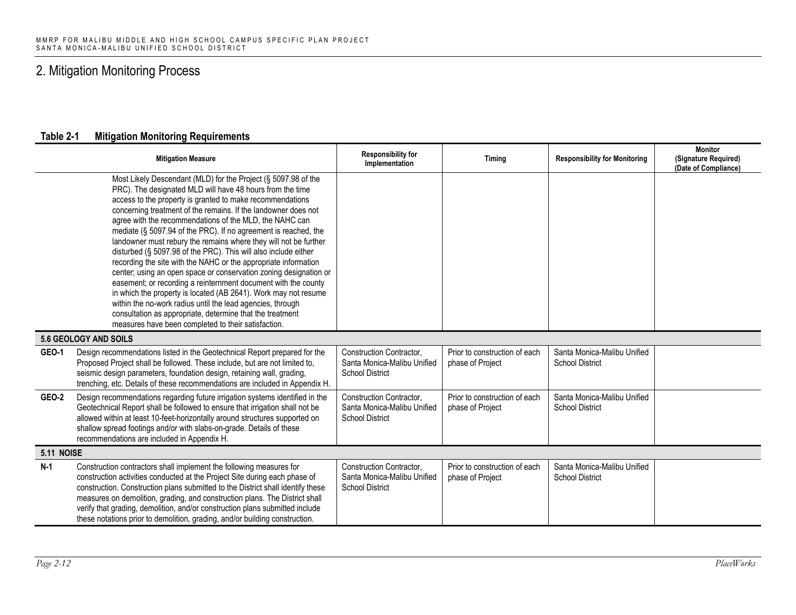|                   | <b>Mitigation Measure</b>                                                                                                                                                                                                                                                                                                                                                                                                                                                                                                                                                                                                                                                                                                                                                                                                                                                                                                                                                                      | <b>Responsibility for</b><br>Implementation                                              | Timing                                            | <b>Responsibility for Monitoring</b>                  | <b>Monitor</b><br>(Signature Required)<br>(Date of Compliance) |
|-------------------|------------------------------------------------------------------------------------------------------------------------------------------------------------------------------------------------------------------------------------------------------------------------------------------------------------------------------------------------------------------------------------------------------------------------------------------------------------------------------------------------------------------------------------------------------------------------------------------------------------------------------------------------------------------------------------------------------------------------------------------------------------------------------------------------------------------------------------------------------------------------------------------------------------------------------------------------------------------------------------------------|------------------------------------------------------------------------------------------|---------------------------------------------------|-------------------------------------------------------|----------------------------------------------------------------|
|                   | Most Likely Descendant (MLD) for the Project (§ 5097.98 of the<br>PRC). The designated MLD will have 48 hours from the time<br>access to the property is granted to make recommendations<br>concerning treatment of the remains. If the landowner does not<br>agree with the recommendations of the MLD, the NAHC can<br>mediate (§ 5097.94 of the PRC). If no agreement is reached, the<br>landowner must rebury the remains where they will not be further<br>disturbed (§ 5097.98 of the PRC). This will also include either<br>recording the site with the NAHC or the appropriate information<br>center; using an open space or conservation zoning designation or<br>easement; or recording a reinternment document with the county<br>in which the property is located (AB 2641). Work may not resume<br>within the no-work radius until the lead agencies, through<br>consultation as appropriate, determine that the treatment<br>measures have been completed to their satisfaction. |                                                                                          |                                                   |                                                       |                                                                |
|                   | 5.6 GEOLOGY AND SOILS                                                                                                                                                                                                                                                                                                                                                                                                                                                                                                                                                                                                                                                                                                                                                                                                                                                                                                                                                                          |                                                                                          |                                                   |                                                       |                                                                |
| <b>GEO-1</b>      | Design recommendations listed in the Geotechnical Report prepared for the<br>Proposed Project shall be followed. These include, but are not limited to,<br>seismic design parameters, foundation design, retaining wall, grading,<br>trenching, etc. Details of these recommendations are included in Appendix H.                                                                                                                                                                                                                                                                                                                                                                                                                                                                                                                                                                                                                                                                              | <b>Construction Contractor.</b><br>Santa Monica-Malibu Unified<br><b>School District</b> | Prior to construction of each<br>phase of Project | Santa Monica-Malibu Unified<br><b>School District</b> |                                                                |
| <b>GEO-2</b>      | Design recommendations regarding future irrigation systems identified in the<br>Geotechnical Report shall be followed to ensure that irrigation shall not be<br>allowed within at least 10-feet-horizontally around structures supported on<br>shallow spread footings and/or with slabs-on-grade. Details of these<br>recommendations are included in Appendix H.                                                                                                                                                                                                                                                                                                                                                                                                                                                                                                                                                                                                                             | Construction Contractor,<br>Santa Monica-Malibu Unified<br><b>School District</b>        | Prior to construction of each<br>phase of Project | Santa Monica-Malibu Unified<br><b>School District</b> |                                                                |
| <b>5.11 NOISE</b> |                                                                                                                                                                                                                                                                                                                                                                                                                                                                                                                                                                                                                                                                                                                                                                                                                                                                                                                                                                                                |                                                                                          |                                                   |                                                       |                                                                |
| $N-1$             | Construction contractors shall implement the following measures for<br>construction activities conducted at the Project Site during each phase of<br>construction. Construction plans submitted to the District shall identify these<br>measures on demolition, grading, and construction plans. The District shall<br>verify that grading, demolition, and/or construction plans submitted include<br>these notations prior to demolition, grading, and/or building construction.                                                                                                                                                                                                                                                                                                                                                                                                                                                                                                             | <b>Construction Contractor.</b><br>Santa Monica-Malibu Unified<br><b>School District</b> | Prior to construction of each<br>phase of Project | Santa Monica-Malibu Unified<br><b>School District</b> |                                                                |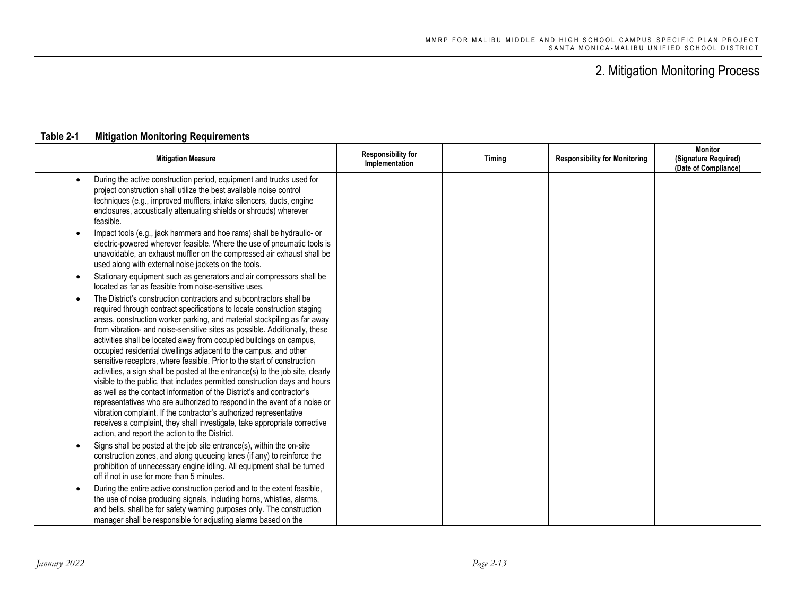| <b>Mitigation Measure</b>                                                                                                                                                                                                                                                                                                                                                                                                                                                                                                                                                                                                                                                                                                                                                                                                                                                                                                                                                                                                                                             | <b>Responsibility for</b><br>Implementation | Timing | <b>Responsibility for Monitoring</b> | <b>Monitor</b><br>(Signature Required)<br>(Date of Compliance) |
|-----------------------------------------------------------------------------------------------------------------------------------------------------------------------------------------------------------------------------------------------------------------------------------------------------------------------------------------------------------------------------------------------------------------------------------------------------------------------------------------------------------------------------------------------------------------------------------------------------------------------------------------------------------------------------------------------------------------------------------------------------------------------------------------------------------------------------------------------------------------------------------------------------------------------------------------------------------------------------------------------------------------------------------------------------------------------|---------------------------------------------|--------|--------------------------------------|----------------------------------------------------------------|
| During the active construction period, equipment and trucks used for<br>$\bullet$<br>project construction shall utilize the best available noise control<br>techniques (e.g., improved mufflers, intake silencers, ducts, engine<br>enclosures, acoustically attenuating shields or shrouds) wherever<br>feasible.                                                                                                                                                                                                                                                                                                                                                                                                                                                                                                                                                                                                                                                                                                                                                    |                                             |        |                                      |                                                                |
| Impact tools (e.g., jack hammers and hoe rams) shall be hydraulic- or<br>$\bullet$<br>electric-powered wherever feasible. Where the use of pneumatic tools is<br>unavoidable, an exhaust muffler on the compressed air exhaust shall be<br>used along with external noise jackets on the tools.                                                                                                                                                                                                                                                                                                                                                                                                                                                                                                                                                                                                                                                                                                                                                                       |                                             |        |                                      |                                                                |
| Stationary equipment such as generators and air compressors shall be<br>$\bullet$<br>located as far as feasible from noise-sensitive uses.                                                                                                                                                                                                                                                                                                                                                                                                                                                                                                                                                                                                                                                                                                                                                                                                                                                                                                                            |                                             |        |                                      |                                                                |
| The District's construction contractors and subcontractors shall be<br>$\bullet$<br>required through contract specifications to locate construction staging<br>areas, construction worker parking, and material stockpiling as far away<br>from vibration- and noise-sensitive sites as possible. Additionally, these<br>activities shall be located away from occupied buildings on campus,<br>occupied residential dwellings adjacent to the campus, and other<br>sensitive receptors, where feasible. Prior to the start of construction<br>activities, a sign shall be posted at the entrance(s) to the job site, clearly<br>visible to the public, that includes permitted construction days and hours<br>as well as the contact information of the District's and contractor's<br>representatives who are authorized to respond in the event of a noise or<br>vibration complaint. If the contractor's authorized representative<br>receives a complaint, they shall investigate, take appropriate corrective<br>action, and report the action to the District. |                                             |        |                                      |                                                                |
| Signs shall be posted at the job site entrance(s), within the on-site<br>$\bullet$<br>construction zones, and along queueing lanes (if any) to reinforce the<br>prohibition of unnecessary engine idling. All equipment shall be turned<br>off if not in use for more than 5 minutes.                                                                                                                                                                                                                                                                                                                                                                                                                                                                                                                                                                                                                                                                                                                                                                                 |                                             |        |                                      |                                                                |
| During the entire active construction period and to the extent feasible,<br>$\bullet$<br>the use of noise producing signals, including horns, whistles, alarms,<br>and bells, shall be for safety warning purposes only. The construction<br>manager shall be responsible for adjusting alarms based on the                                                                                                                                                                                                                                                                                                                                                                                                                                                                                                                                                                                                                                                                                                                                                           |                                             |        |                                      |                                                                |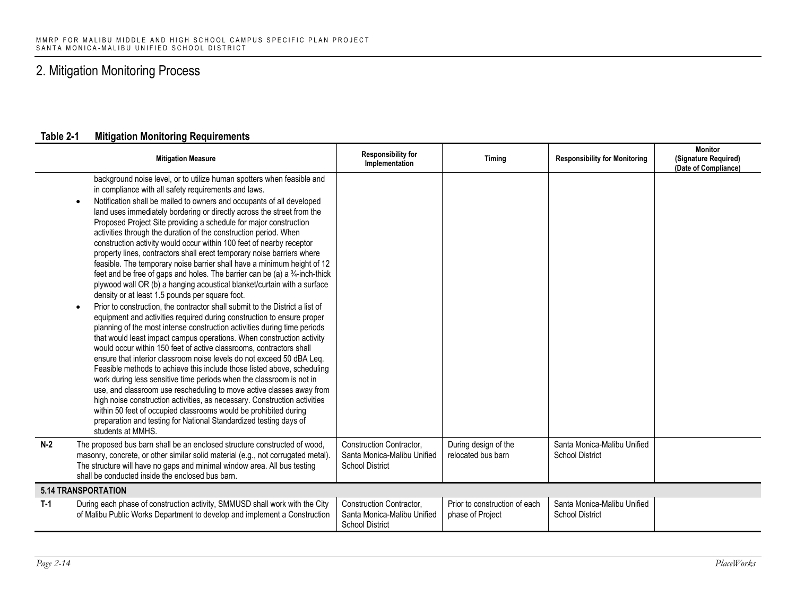|       | <b>Mitigation Measure</b>                                                                                                                                                                                                                                                                                                                                                                                                                                                                                                                                                                                                                                                                                                                                                                                                                                                                                                                                                                                                                                                                                                                                                                                                                                                                                                                                                                                                                                                                                                                                                                                                                                                                                                                                                                                              | <b>Responsibility for</b><br>Implementation                                       | Timing                                            | <b>Responsibility for Monitoring</b>                  | <b>Monitor</b><br>(Signature Required)<br>(Date of Compliance) |  |
|-------|------------------------------------------------------------------------------------------------------------------------------------------------------------------------------------------------------------------------------------------------------------------------------------------------------------------------------------------------------------------------------------------------------------------------------------------------------------------------------------------------------------------------------------------------------------------------------------------------------------------------------------------------------------------------------------------------------------------------------------------------------------------------------------------------------------------------------------------------------------------------------------------------------------------------------------------------------------------------------------------------------------------------------------------------------------------------------------------------------------------------------------------------------------------------------------------------------------------------------------------------------------------------------------------------------------------------------------------------------------------------------------------------------------------------------------------------------------------------------------------------------------------------------------------------------------------------------------------------------------------------------------------------------------------------------------------------------------------------------------------------------------------------------------------------------------------------|-----------------------------------------------------------------------------------|---------------------------------------------------|-------------------------------------------------------|----------------------------------------------------------------|--|
|       | background noise level, or to utilize human spotters when feasible and<br>in compliance with all safety requirements and laws.<br>Notification shall be mailed to owners and occupants of all developed<br>land uses immediately bordering or directly across the street from the<br>Proposed Project Site providing a schedule for major construction<br>activities through the duration of the construction period. When<br>construction activity would occur within 100 feet of nearby receptor<br>property lines, contractors shall erect temporary noise barriers where<br>feasible. The temporary noise barrier shall have a minimum height of 12<br>feet and be free of gaps and holes. The barrier can be (a) a 3/4-inch-thick<br>plywood wall OR (b) a hanging acoustical blanket/curtain with a surface<br>density or at least 1.5 pounds per square foot.<br>Prior to construction, the contractor shall submit to the District a list of<br>$\bullet$<br>equipment and activities required during construction to ensure proper<br>planning of the most intense construction activities during time periods<br>that would least impact campus operations. When construction activity<br>would occur within 150 feet of active classrooms, contractors shall<br>ensure that interior classroom noise levels do not exceed 50 dBA Leq.<br>Feasible methods to achieve this include those listed above, scheduling<br>work during less sensitive time periods when the classroom is not in<br>use, and classroom use rescheduling to move active classes away from<br>high noise construction activities, as necessary. Construction activities<br>within 50 feet of occupied classrooms would be prohibited during<br>preparation and testing for National Standardized testing days of<br>students at MMHS. |                                                                                   |                                                   |                                                       |                                                                |  |
| $N-2$ | The proposed bus barn shall be an enclosed structure constructed of wood,<br>masonry, concrete, or other similar solid material (e.g., not corrugated metal).<br>The structure will have no gaps and minimal window area. All bus testing<br>shall be conducted inside the enclosed bus barn.                                                                                                                                                                                                                                                                                                                                                                                                                                                                                                                                                                                                                                                                                                                                                                                                                                                                                                                                                                                                                                                                                                                                                                                                                                                                                                                                                                                                                                                                                                                          | Construction Contractor,<br>Santa Monica-Malibu Unified<br><b>School District</b> | During design of the<br>relocated bus barn        | Santa Monica-Malibu Unified<br><b>School District</b> |                                                                |  |
|       | <b>5.14 TRANSPORTATION</b>                                                                                                                                                                                                                                                                                                                                                                                                                                                                                                                                                                                                                                                                                                                                                                                                                                                                                                                                                                                                                                                                                                                                                                                                                                                                                                                                                                                                                                                                                                                                                                                                                                                                                                                                                                                             |                                                                                   |                                                   |                                                       |                                                                |  |
| $T-1$ | During each phase of construction activity, SMMUSD shall work with the City<br>of Malibu Public Works Department to develop and implement a Construction                                                                                                                                                                                                                                                                                                                                                                                                                                                                                                                                                                                                                                                                                                                                                                                                                                                                                                                                                                                                                                                                                                                                                                                                                                                                                                                                                                                                                                                                                                                                                                                                                                                               | Construction Contractor,<br>Santa Monica-Malibu Unified<br><b>School District</b> | Prior to construction of each<br>phase of Project | Santa Monica-Malibu Unified<br><b>School District</b> |                                                                |  |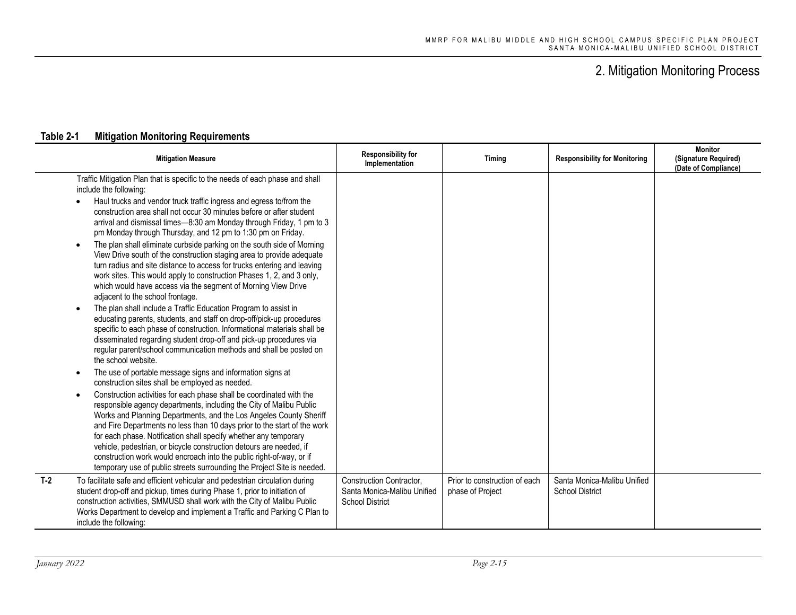|                                                            | <b>Mitigation Measure</b>                                                                                                                                                                                                                                                                                                                                                                                                                                                                                                                                                                                                                                                                                                                                                                                                                                                                                                                                                                                                                                                                                                                                                                                                                                                                                                                                                                                                                                                                                                                                                                                                                                                                                                                                                                                                                                           | <b>Responsibility for</b><br>Implementation                                       | Timing                                            | <b>Responsibility for Monitoring</b>                  | <b>Monitor</b><br>(Signature Required)<br>(Date of Compliance) |
|------------------------------------------------------------|---------------------------------------------------------------------------------------------------------------------------------------------------------------------------------------------------------------------------------------------------------------------------------------------------------------------------------------------------------------------------------------------------------------------------------------------------------------------------------------------------------------------------------------------------------------------------------------------------------------------------------------------------------------------------------------------------------------------------------------------------------------------------------------------------------------------------------------------------------------------------------------------------------------------------------------------------------------------------------------------------------------------------------------------------------------------------------------------------------------------------------------------------------------------------------------------------------------------------------------------------------------------------------------------------------------------------------------------------------------------------------------------------------------------------------------------------------------------------------------------------------------------------------------------------------------------------------------------------------------------------------------------------------------------------------------------------------------------------------------------------------------------------------------------------------------------------------------------------------------------|-----------------------------------------------------------------------------------|---------------------------------------------------|-------------------------------------------------------|----------------------------------------------------------------|
| include the following:<br>$\bullet$<br>the school website. | Traffic Mitigation Plan that is specific to the needs of each phase and shall<br>Haul trucks and vendor truck traffic ingress and egress to/from the<br>construction area shall not occur 30 minutes before or after student<br>arrival and dismissal times-8:30 am Monday through Friday, 1 pm to 3<br>pm Monday through Thursday, and 12 pm to 1:30 pm on Friday.<br>The plan shall eliminate curbside parking on the south side of Morning<br>View Drive south of the construction staging area to provide adequate<br>turn radius and site distance to access for trucks entering and leaving<br>work sites. This would apply to construction Phases 1, 2, and 3 only,<br>which would have access via the segment of Morning View Drive<br>adjacent to the school frontage.<br>The plan shall include a Traffic Education Program to assist in<br>educating parents, students, and staff on drop-off/pick-up procedures<br>specific to each phase of construction. Informational materials shall be<br>disseminated regarding student drop-off and pick-up procedures via<br>regular parent/school communication methods and shall be posted on<br>The use of portable message signs and information signs at<br>construction sites shall be employed as needed.<br>Construction activities for each phase shall be coordinated with the<br>responsible agency departments, including the City of Malibu Public<br>Works and Planning Departments, and the Los Angeles County Sheriff<br>and Fire Departments no less than 10 days prior to the start of the work<br>for each phase. Notification shall specify whether any temporary<br>vehicle, pedestrian, or bicycle construction detours are needed, if<br>construction work would encroach into the public right-of-way, or if<br>temporary use of public streets surrounding the Project Site is needed. |                                                                                   |                                                   |                                                       |                                                                |
| $T-2$<br>include the following:                            | To facilitate safe and efficient vehicular and pedestrian circulation during<br>student drop-off and pickup, times during Phase 1, prior to initiation of<br>construction activities, SMMUSD shall work with the City of Malibu Public<br>Works Department to develop and implement a Traffic and Parking C Plan to                                                                                                                                                                                                                                                                                                                                                                                                                                                                                                                                                                                                                                                                                                                                                                                                                                                                                                                                                                                                                                                                                                                                                                                                                                                                                                                                                                                                                                                                                                                                                 | Construction Contractor,<br>Santa Monica-Malibu Unified<br><b>School District</b> | Prior to construction of each<br>phase of Project | Santa Monica-Malibu Unified<br><b>School District</b> |                                                                |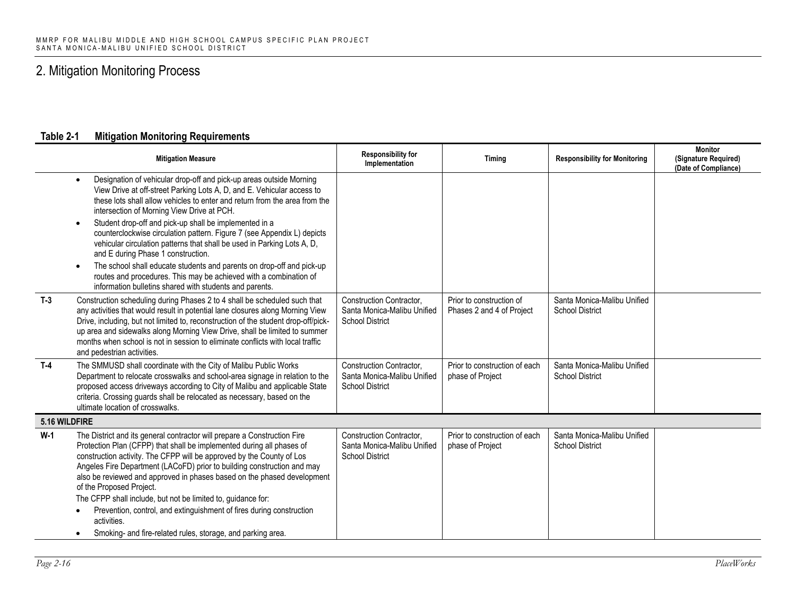| <b>Mitigation Measure</b>                                                                                                                                                                                                                                                                                                                                                                                                                                                                                                                                                                                                                                                                                                                             | <b>Responsibility for</b><br>Implementation                                       | Timing                                                | <b>Responsibility for Monitoring</b>                  | <b>Monitor</b><br>(Signature Required)<br>(Date of Compliance) |
|-------------------------------------------------------------------------------------------------------------------------------------------------------------------------------------------------------------------------------------------------------------------------------------------------------------------------------------------------------------------------------------------------------------------------------------------------------------------------------------------------------------------------------------------------------------------------------------------------------------------------------------------------------------------------------------------------------------------------------------------------------|-----------------------------------------------------------------------------------|-------------------------------------------------------|-------------------------------------------------------|----------------------------------------------------------------|
| Designation of vehicular drop-off and pick-up areas outside Morning<br>$\bullet$<br>View Drive at off-street Parking Lots A, D, and E. Vehicular access to<br>these lots shall allow vehicles to enter and return from the area from the<br>intersection of Morning View Drive at PCH.<br>Student drop-off and pick-up shall be implemented in a<br>counterclockwise circulation pattern. Figure 7 (see Appendix L) depicts<br>vehicular circulation patterns that shall be used in Parking Lots A, D,<br>and E during Phase 1 construction.<br>The school shall educate students and parents on drop-off and pick-up<br>routes and procedures. This may be achieved with a combination of<br>information bulletins shared with students and parents. |                                                                                   |                                                       |                                                       |                                                                |
| $T-3$<br>Construction scheduling during Phases 2 to 4 shall be scheduled such that<br>any activities that would result in potential lane closures along Morning View<br>Drive, including, but not limited to, reconstruction of the student drop-off/pick-<br>up area and sidewalks along Morning View Drive, shall be limited to summer<br>months when school is not in session to eliminate conflicts with local traffic<br>and pedestrian activities.                                                                                                                                                                                                                                                                                              | Construction Contractor,<br>Santa Monica-Malibu Unified<br><b>School District</b> | Prior to construction of<br>Phases 2 and 4 of Project | Santa Monica-Malibu Unified<br><b>School District</b> |                                                                |
| $T-4$<br>The SMMUSD shall coordinate with the City of Malibu Public Works<br>Department to relocate crosswalks and school-area signage in relation to the<br>proposed access driveways according to City of Malibu and applicable State<br>criteria. Crossing guards shall be relocated as necessary, based on the<br>ultimate location of crosswalks.                                                                                                                                                                                                                                                                                                                                                                                                | Construction Contractor,<br>Santa Monica-Malibu Unified<br><b>School District</b> | Prior to construction of each<br>phase of Project     | Santa Monica-Malibu Unified<br><b>School District</b> |                                                                |
| 5.16 WILDFIRE                                                                                                                                                                                                                                                                                                                                                                                                                                                                                                                                                                                                                                                                                                                                         |                                                                                   |                                                       |                                                       |                                                                |
| $W-1$<br>The District and its general contractor will prepare a Construction Fire<br>Protection Plan (CFPP) that shall be implemented during all phases of<br>construction activity. The CFPP will be approved by the County of Los<br>Angeles Fire Department (LACoFD) prior to building construction and may<br>also be reviewed and approved in phases based on the phased development<br>of the Proposed Project.<br>The CFPP shall include, but not be limited to, guidance for:                                                                                                                                                                                                                                                                 | Construction Contractor,<br>Santa Monica-Malibu Unified<br><b>School District</b> | Prior to construction of each<br>phase of Project     | Santa Monica-Malibu Unified<br><b>School District</b> |                                                                |
| Prevention, control, and extinguishment of fires during construction<br>activities.<br>Smoking- and fire-related rules, storage, and parking area.<br>$\bullet$                                                                                                                                                                                                                                                                                                                                                                                                                                                                                                                                                                                       |                                                                                   |                                                       |                                                       |                                                                |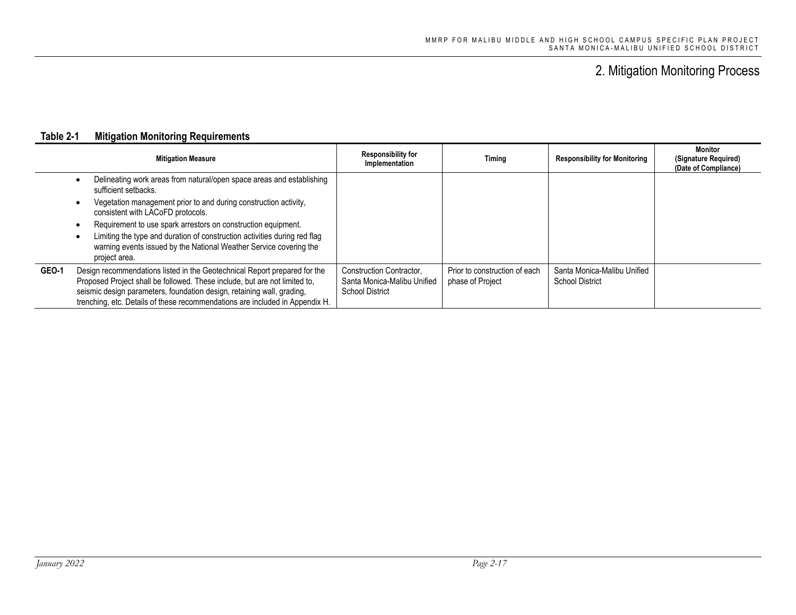|              | <b>Mitigation Measure</b>                                                                                                                                                                                                                                                                                         | <b>Responsibility for</b><br>Implementation                                       | Timing                                            | <b>Responsibility for Monitoring</b>                  | Monitor<br>(Signature Required)<br>(Date of Compliance) |
|--------------|-------------------------------------------------------------------------------------------------------------------------------------------------------------------------------------------------------------------------------------------------------------------------------------------------------------------|-----------------------------------------------------------------------------------|---------------------------------------------------|-------------------------------------------------------|---------------------------------------------------------|
|              | Delineating work areas from natural/open space areas and establishing<br>sufficient setbacks.                                                                                                                                                                                                                     |                                                                                   |                                                   |                                                       |                                                         |
|              | Vegetation management prior to and during construction activity,<br>$\bullet$<br>consistent with LACoFD protocols.                                                                                                                                                                                                |                                                                                   |                                                   |                                                       |                                                         |
|              | Requirement to use spark arrestors on construction equipment.<br>٠<br>Limiting the type and duration of construction activities during red flag<br>٠<br>warning events issued by the National Weather Service covering the<br>project area.                                                                       |                                                                                   |                                                   |                                                       |                                                         |
| <b>GEO-1</b> | Design recommendations listed in the Geotechnical Report prepared for the<br>Proposed Project shall be followed. These include, but are not limited to,<br>seismic design parameters, foundation design, retaining wall, grading,<br>trenching, etc. Details of these recommendations are included in Appendix H. | Construction Contractor.<br>Santa Monica-Malibu Unified<br><b>School District</b> | Prior to construction of each<br>phase of Project | Santa Monica-Malibu Unified<br><b>School District</b> |                                                         |